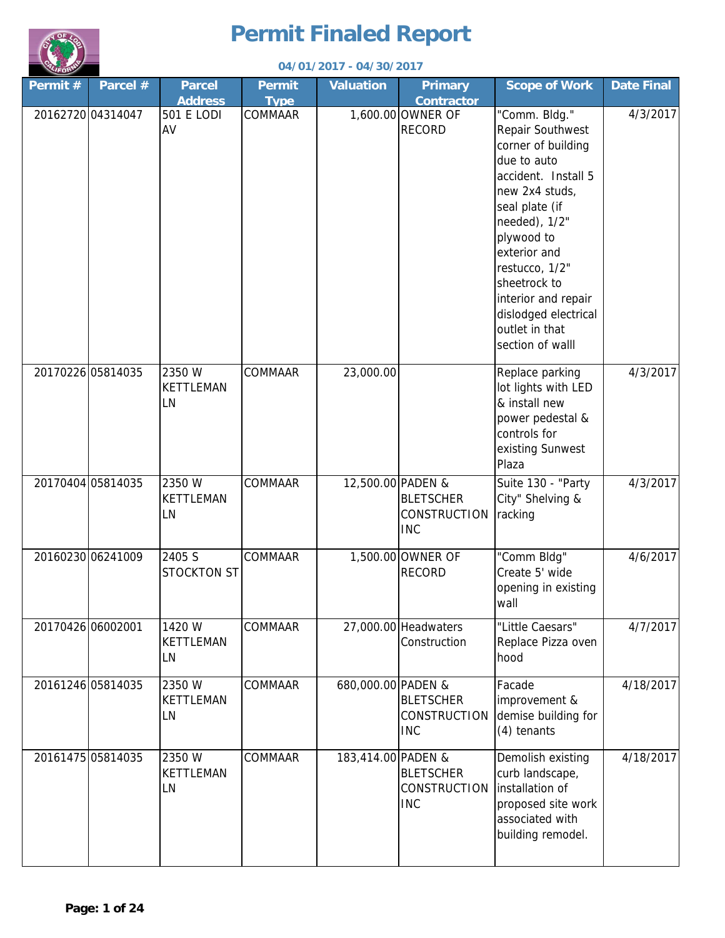

|                   |          |                                  |                              | 04/01/2017 - 04/30/2017 |                                                |                                                                                                                                                                                                                                                                                                         |                   |
|-------------------|----------|----------------------------------|------------------------------|-------------------------|------------------------------------------------|---------------------------------------------------------------------------------------------------------------------------------------------------------------------------------------------------------------------------------------------------------------------------------------------------------|-------------------|
| Permit#           | Parcel # | <b>Parcel</b><br><b>Address</b>  | <b>Permit</b><br><b>Type</b> | <b>Valuation</b>        | <b>Primary</b><br><b>Contractor</b>            | <b>Scope of Work</b>                                                                                                                                                                                                                                                                                    | <b>Date Final</b> |
| 20162720 04314047 |          | 501 E LODI<br>AV                 | COMMAAR                      |                         | 1,600.00 OWNER OF<br><b>RECORD</b>             | "Comm. Bldg."<br>Repair Southwest<br>corner of building<br>due to auto<br>accident. Install 5<br>new 2x4 studs,<br>seal plate (if<br>needed), 1/2"<br>plywood to<br>exterior and<br>restucco, 1/2"<br>sheetrock to<br>interior and repair<br>dislodged electrical<br>outlet in that<br>section of walll | 4/3/2017          |
| 20170226 05814035 |          | 2350 W<br><b>KETTLEMAN</b><br>LN | COMMAAR                      | 23,000.00               |                                                | Replace parking<br>lot lights with LED<br>& install new<br>power pedestal &<br>controls for<br>existing Sunwest<br>Plaza                                                                                                                                                                                | 4/3/2017          |
| 20170404 05814035 |          | 2350 W<br><b>KETTLEMAN</b><br>LN | COMMAAR                      | 12,500.00 PADEN &       | <b>BLETSCHER</b><br>CONSTRUCTION<br><b>INC</b> | Suite 130 - "Party<br>City" Shelving &<br>racking                                                                                                                                                                                                                                                       | 4/3/2017          |
| 20160230 06241009 |          | 2405 S<br><b>STOCKTON ST</b>     | <b>COMMAAR</b>               |                         | 1,500.00 OWNER OF<br><b>RECORD</b>             | "Comm Bldg"<br>Create 5' wide<br>opening in existing<br>wall                                                                                                                                                                                                                                            | 4/6/2017          |
| 20170426 06002001 |          | 1420 W<br><b>KETTLEMAN</b><br>LN | <b>COMMAAR</b>               |                         | 27,000.00 Headwaters<br>Construction           | "Little Caesars"<br>Replace Pizza oven<br>hood                                                                                                                                                                                                                                                          | 4/7/2017          |
| 20161246 05814035 |          | 2350 W<br>KETTLEMAN<br>LN        | <b>COMMAAR</b>               | 680,000.00 PADEN &      | <b>BLETSCHER</b><br>CONSTRUCTION<br><b>INC</b> | Facade<br>improvement &<br>demise building for<br>(4) tenants                                                                                                                                                                                                                                           | 4/18/2017         |
| 20161475 05814035 |          | 2350 W<br><b>KETTLEMAN</b><br>LN | COMMAAR                      | 183,414.00 PADEN &      | <b>BLETSCHER</b><br>CONSTRUCTION<br><b>INC</b> | Demolish existing<br>curb landscape,<br>installation of<br>proposed site work<br>associated with<br>building remodel.                                                                                                                                                                                   | 4/18/2017         |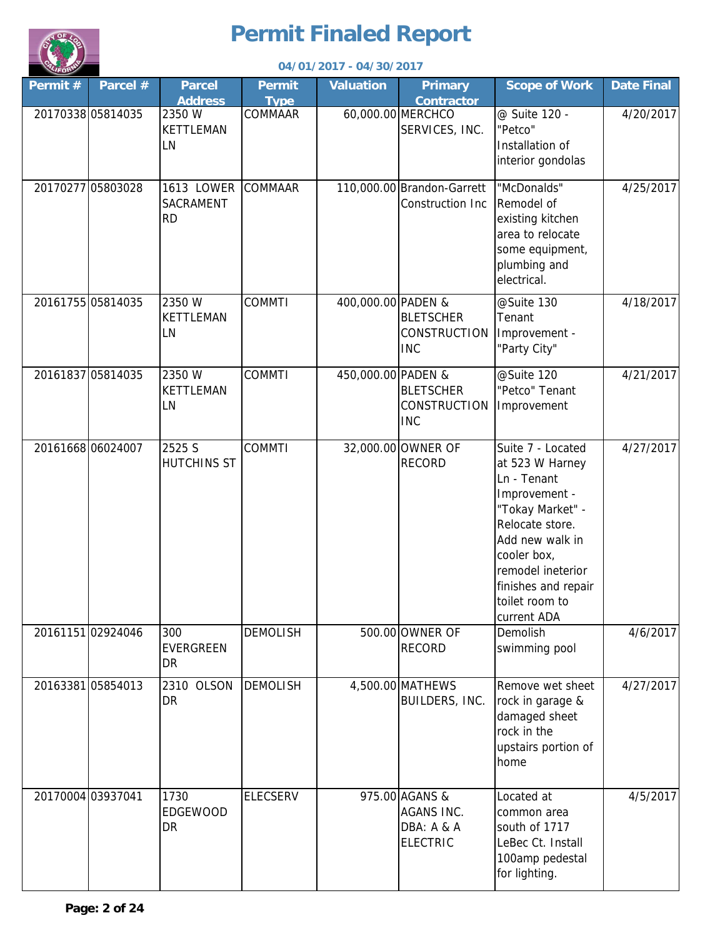

| <b>CALIFORN</b>   |                   |                                      |                              | 04/01/2017 - 04/30/2017 |                                                               |                                                                                                                                                                                                                            |                   |
|-------------------|-------------------|--------------------------------------|------------------------------|-------------------------|---------------------------------------------------------------|----------------------------------------------------------------------------------------------------------------------------------------------------------------------------------------------------------------------------|-------------------|
| Permit#           | Parcel #          | <b>Parcel</b><br><b>Address</b>      | <b>Permit</b><br><b>Type</b> | <b>Valuation</b>        | <b>Primary</b><br><b>Contractor</b>                           | <b>Scope of Work</b>                                                                                                                                                                                                       | <b>Date Final</b> |
| 20170338 05814035 |                   | 2350 W<br><b>KETTLEMAN</b><br>LN     | COMMAAR                      |                         | 60,000.00 MERCHCO<br>SERVICES, INC.                           | @ Suite 120 -<br>"Petco"<br>Installation of<br>interior gondolas                                                                                                                                                           | 4/20/2017         |
|                   | 20170277 05803028 | 1613 LOWER<br>SACRAMENT<br><b>RD</b> | <b>COMMAAR</b>               |                         | 110,000.00 Brandon-Garrett<br>Construction Inc                | "McDonalds"<br>Remodel of<br>existing kitchen<br>area to relocate<br>some equipment,<br>plumbing and<br>electrical.                                                                                                        | 4/25/2017         |
|                   | 20161755 05814035 | 2350 W<br><b>KETTLEMAN</b><br>LN     | <b>COMMTI</b>                | 400,000.00 PADEN &      | <b>BLETSCHER</b><br><b>CONSTRUCTION</b><br><b>INC</b>         | @Suite 130<br>Tenant<br>Improvement -<br>"Party City"                                                                                                                                                                      | 4/18/2017         |
|                   | 20161837 05814035 | 2350 W<br><b>KETTLEMAN</b><br>LN     | <b>COMMTI</b>                | 450,000.00 PADEN &      | <b>BLETSCHER</b><br>CONSTRUCTION<br><b>INC</b>                | @Suite 120<br>"Petco" Tenant<br>Improvement                                                                                                                                                                                | 4/21/2017         |
|                   | 20161668 06024007 | 2525 S<br>HUTCHINS ST                | <b>COMMTI</b>                |                         | 32,000.00 OWNER OF<br><b>RECORD</b>                           | Suite 7 - Located<br>at 523 W Harney<br>Ln - Tenant<br>Improvement -<br>"Tokay Market" -<br>Relocate store.<br>Add new walk in<br>cooler box,<br>remodel ineterior<br>finishes and repair<br>toilet room to<br>current ADA | 4/27/2017         |
|                   | 20161151 02924046 | 300<br><b>EVERGREEN</b><br><b>DR</b> | <b>DEMOLISH</b>              |                         | 500.00 OWNER OF<br><b>RECORD</b>                              | Demolish<br>swimming pool                                                                                                                                                                                                  | 4/6/2017          |
|                   | 2016338105854013  | 2310 OLSON<br><b>DR</b>              | <b>DEMOLISH</b>              |                         | 4,500.00 MATHEWS<br>BUILDERS, INC.                            | Remove wet sheet<br>rock in garage &<br>damaged sheet<br>rock in the<br>upstairs portion of<br>home                                                                                                                        | 4/27/2017         |
|                   | 20170004 03937041 | 1730<br><b>EDGEWOOD</b><br><b>DR</b> | <b>ELECSERV</b>              |                         | 975.00 AGANS &<br>AGANS INC.<br>DBA: A & A<br><b>ELECTRIC</b> | Located at<br>common area<br>south of 1717<br>LeBec Ct. Install<br>100amp pedestal<br>for lighting.                                                                                                                        | 4/5/2017          |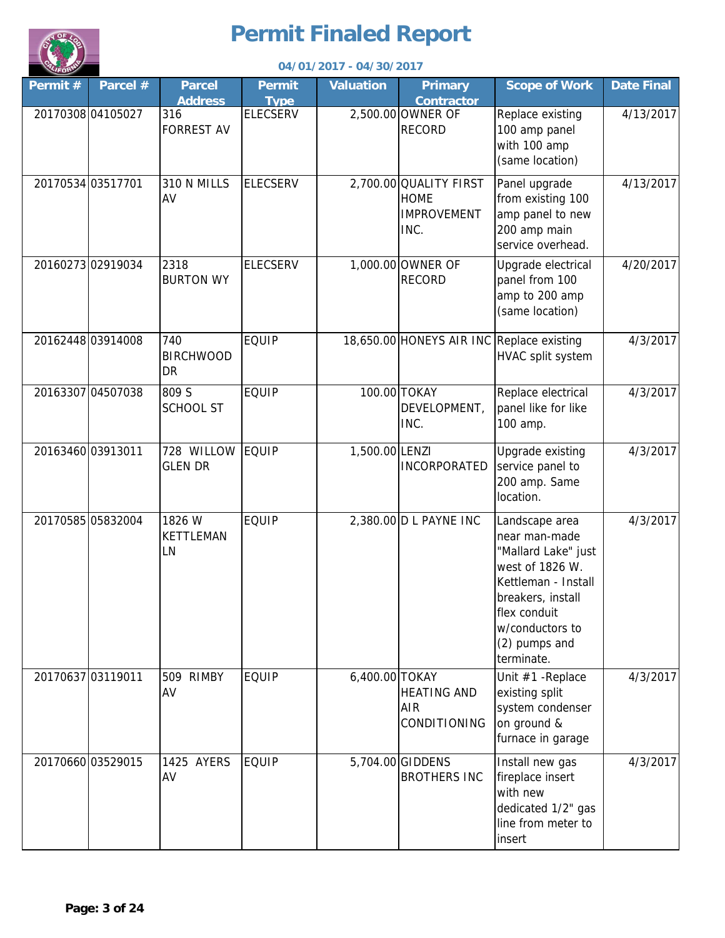

|                   |                   |                                      |                              | 04/01/2017 - 04/30/2017 |                                                                     |                                                                                                                                                                                         |                   |
|-------------------|-------------------|--------------------------------------|------------------------------|-------------------------|---------------------------------------------------------------------|-----------------------------------------------------------------------------------------------------------------------------------------------------------------------------------------|-------------------|
| Permit#           | Parcel #          | <b>Parcel</b><br><b>Address</b>      | <b>Permit</b><br><b>Type</b> | <b>Valuation</b>        | <b>Primary</b><br><b>Contractor</b>                                 | <b>Scope of Work</b>                                                                                                                                                                    | <b>Date Final</b> |
|                   | 20170308 04105027 | 316<br><b>FORREST AV</b>             | <b>ELECSERV</b>              |                         | 2,500.00 OWNER OF<br><b>RECORD</b>                                  | Replace existing<br>100 amp panel<br>with 100 amp<br>(same location)                                                                                                                    | 4/13/2017         |
|                   | 20170534 03517701 | 310 N MILLS<br>AV                    | <b>ELECSERV</b>              |                         | 2,700.00 QUALITY FIRST<br><b>HOME</b><br><b>IMPROVEMENT</b><br>INC. | Panel upgrade<br>from existing 100<br>amp panel to new<br>200 amp main<br>service overhead.                                                                                             | 4/13/2017         |
|                   | 20160273 02919034 | 2318<br><b>BURTON WY</b>             | <b>ELECSERV</b>              |                         | 1,000.00 OWNER OF<br><b>RECORD</b>                                  | Upgrade electrical<br>panel from 100<br>amp to 200 amp<br>(same location)                                                                                                               | 4/20/2017         |
|                   | 20162448 03914008 | 740<br><b>BIRCHWOOD</b><br><b>DR</b> | <b>EQUIP</b>                 |                         | 18,650.00 HONEYS AIR INC Replace existing                           | HVAC split system                                                                                                                                                                       | 4/3/2017          |
|                   | 20163307 04507038 | 809 S<br><b>SCHOOL ST</b>            | <b>EQUIP</b>                 |                         | 100.00 TOKAY<br>DEVELOPMENT,<br>INC.                                | Replace electrical<br>panel like for like<br>100 amp.                                                                                                                                   | 4/3/2017          |
| 20163460 03913011 |                   | 728 WILLOW EQUIP<br><b>GLEN DR</b>   |                              | 1,500.00 LENZI          | <b>INCORPORATED</b>                                                 | Upgrade existing<br>service panel to<br>200 amp. Same<br>location.                                                                                                                      | 4/3/2017          |
|                   | 20170585 05832004 | 1826 W<br><b>KETTLEMAN</b><br>LN     | <b>EQUIP</b>                 |                         | 2,380.00 D L PAYNE INC                                              | Landscape area<br>near man-made<br>"Mallard Lake" just<br>west of 1826 W.<br>Kettleman - Install<br>breakers, install<br>flex conduit<br>w/conductors to<br>(2) pumps and<br>terminate. | 4/3/2017          |
|                   | 20170637 03119011 | <b>RIMBY</b><br>509<br>AV            | <b>EQUIP</b>                 | 6,400.00 TOKAY          | <b>HEATING AND</b><br><b>AIR</b><br>CONDITIONING                    | Unit #1 - Replace<br>existing split<br>system condenser<br>on ground &<br>furnace in garage                                                                                             | 4/3/2017          |
|                   | 20170660 03529015 | 1425 AYERS<br>AV                     | <b>EQUIP</b>                 |                         | 5,704.00 GIDDENS<br><b>BROTHERS INC</b>                             | Install new gas<br>fireplace insert<br>with new<br>dedicated 1/2" gas<br>line from meter to<br>insert                                                                                   | 4/3/2017          |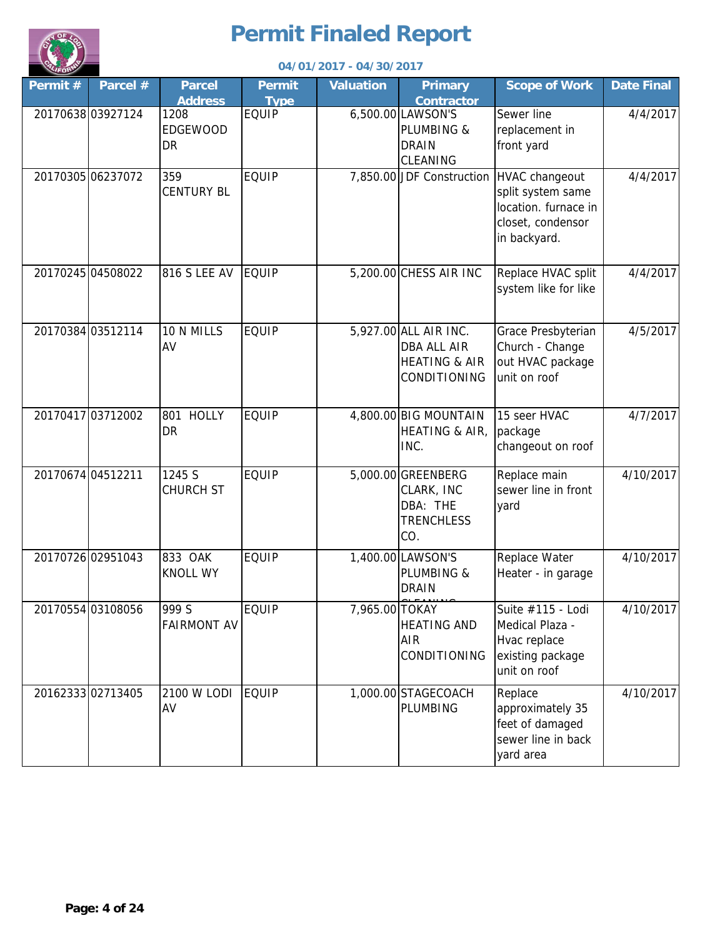

|         |                   |                                                        |                             | 04/01/2017 - 04/30/2017 |                                                                                         |                                                                                                  |                   |
|---------|-------------------|--------------------------------------------------------|-----------------------------|-------------------------|-----------------------------------------------------------------------------------------|--------------------------------------------------------------------------------------------------|-------------------|
| Permit# | Parcel #          | <b>Parcel</b>                                          | <b>Permit</b>               | <b>Valuation</b>        | <b>Primary</b>                                                                          | <b>Scope of Work</b>                                                                             | <b>Date Final</b> |
|         | 20170638 03927124 | <b>Address</b><br>1208<br><b>EDGEWOOD</b><br><b>DR</b> | <b>Type</b><br><b>EQUIP</b> |                         | <b>Contractor</b><br>6,500.00 LAWSON'S<br>PLUMBING &<br><b>DRAIN</b><br><b>CLEANING</b> | Sewer line<br>replacement in<br>front yard                                                       | 4/4/2017          |
|         | 20170305 06237072 | 359<br><b>CENTURY BL</b>                               | <b>EQUIP</b>                |                         | 7,850.00 JDF Construction                                                               | HVAC changeout<br>split system same<br>location. furnace in<br>closet, condensor<br>in backyard. | 4/4/2017          |
|         | 20170245 04508022 | <b>816 S LEE AV</b>                                    | <b>EQUIP</b>                |                         | 5,200.00 CHESS AIR INC                                                                  | Replace HVAC split<br>system like for like                                                       | 4/4/2017          |
|         | 20170384 03512114 | 10 N MILLS<br>AV                                       | <b>EQUIP</b>                |                         | 5,927.00 ALL AIR INC.<br>DBA ALL AIR<br><b>HEATING &amp; AIR</b><br>CONDITIONING        | Grace Presbyterian<br>Church - Change<br>out HVAC package<br>unit on roof                        | 4/5/2017          |
|         | 20170417 03712002 | 801 HOLLY<br><b>DR</b>                                 | <b>EQUIP</b>                |                         | 4,800.00 BIG MOUNTAIN<br><b>HEATING &amp; AIR,</b><br>INC.                              | 15 seer HVAC<br>package<br>changeout on roof                                                     | 4/7/2017          |
|         | 20170674 04512211 | 1245 S<br><b>CHURCH ST</b>                             | <b>EQUIP</b>                |                         | 5,000.00 GREENBERG<br>CLARK, INC<br>DBA: THE<br><b>TRENCHLESS</b><br>CO.                | Replace main<br>sewer line in front<br>yard                                                      | 4/10/2017         |
|         | 20170726 02951043 | 833 OAK<br><b>KNOLL WY</b>                             | <b>EQUIP</b>                |                         | 1,400.00 LAWSON'S<br>PLUMBING &<br><b>DRAIN</b>                                         | Replace Water<br>Heater - in garage                                                              | 4/10/2017         |
|         | 20170554 03108056 | 999 S<br><b>FAIRMONT AV</b>                            | <b>EQUIP</b>                | 7,965.00 TOKAY          | <b>HEATING AND</b><br>AIR<br>CONDITIONING                                               | Suite #115 - Lodi<br>Medical Plaza -<br>Hvac replace<br>existing package<br>unit on roof         | 4/10/2017         |
|         | 20162333 02713405 | 2100 W LODI<br>AV                                      | EQUIP                       |                         | 1,000.00 STAGECOACH<br>PLUMBING                                                         | Replace<br>approximately 35<br>feet of damaged<br>sewer line in back<br>yard area                | 4/10/2017         |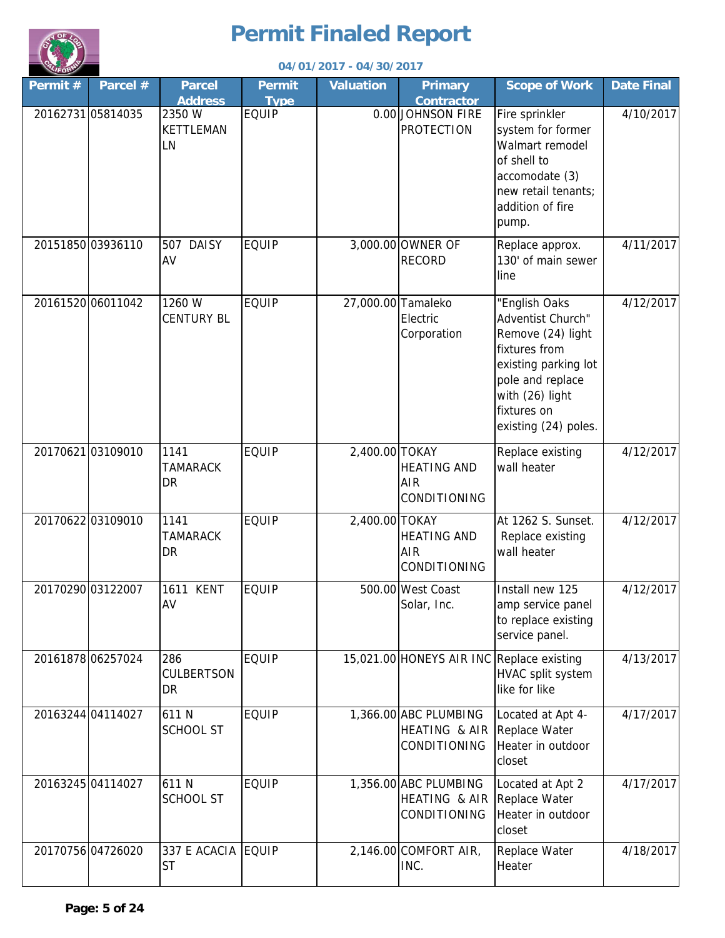

| <b>ALIFORN</b>    |                   |                                       |                              | 04/01/2017 - 04/30/2017 |                                                        |                                                                                                                                                                                |                   |
|-------------------|-------------------|---------------------------------------|------------------------------|-------------------------|--------------------------------------------------------|--------------------------------------------------------------------------------------------------------------------------------------------------------------------------------|-------------------|
| Permit#           | Parcel $#$        | <b>Parcel</b><br><b>Address</b>       | <b>Permit</b><br><b>Type</b> | <b>Valuation</b>        | <b>Primary</b><br><b>Contractor</b>                    | <b>Scope of Work</b>                                                                                                                                                           | <b>Date Final</b> |
| 20162731 05814035 |                   | 2350 W<br><b>KETTLEMAN</b><br>LN      | <b>EQUIP</b>                 |                         | 0.00 JOHNSON FIRE<br><b>PROTECTION</b>                 | Fire sprinkler<br>system for former<br>Walmart remodel<br>of shell to<br>accomodate (3)<br>new retail tenants;<br>addition of fire<br>pump.                                    | 4/10/2017         |
|                   | 20151850 03936110 | 507 DAISY<br>AV                       | <b>EQUIP</b>                 |                         | 3,000.00 OWNER OF<br><b>RECORD</b>                     | Replace approx.<br>130' of main sewer<br>line                                                                                                                                  | 4/11/2017         |
|                   | 20161520 06011042 | 1260 W<br><b>CENTURY BL</b>           | <b>EQUIP</b>                 |                         | 27,000.00 Tamaleko<br>Electric<br>Corporation          | "English Oaks<br>Adventist Church"<br>Remove (24) light<br>fixtures from<br>existing parking lot<br>pole and replace<br>with (26) light<br>fixtures on<br>existing (24) poles. | 4/12/2017         |
|                   | 2017062103109010  | 1141<br><b>TAMARACK</b><br>DR         | <b>EQUIP</b>                 | 2,400.00 TOKAY          | <b>HEATING AND</b><br>AIR<br>CONDITIONING              | Replace existing<br>wall heater                                                                                                                                                | 4/12/2017         |
|                   | 20170622 03109010 | 1141<br><b>TAMARACK</b><br><b>DR</b>  | <b>EQUIP</b>                 | 2,400.00 TOKAY          | <b>HEATING AND</b><br>AIR<br>CONDITIONING              | At 1262 S. Sunset.<br>Replace existing<br>wall heater                                                                                                                          | 4/12/2017         |
|                   | 20170290 03122007 | 1611 KENT<br>AV                       | <b>EQUIP</b>                 |                         | 500.00 West Coast<br>Solar, Inc.                       | Install new 125<br>amp service panel<br>to replace existing<br>service panel.                                                                                                  | 4/12/2017         |
|                   | 20161878 06257024 | 286<br><b>CULBERTSON</b><br><b>DR</b> | <b>EQUIP</b>                 |                         | 15,021.00 HONEYS AIR INC Replace existing              | HVAC split system<br>like for like                                                                                                                                             | 4/13/2017         |
|                   | 20163244 04114027 | 611N<br><b>SCHOOL ST</b>              | <b>EQUIP</b>                 |                         | 1,366.00 ABC PLUMBING<br>HEATING & AIR<br>CONDITIONING | Located at Apt 4-<br>Replace Water<br>Heater in outdoor<br>closet                                                                                                              | 4/17/2017         |
|                   | 20163245 04114027 | 611N<br><b>SCHOOL ST</b>              | <b>EQUIP</b>                 |                         | 1,356.00 ABC PLUMBING<br>HEATING & AIR<br>CONDITIONING | Located at Apt 2<br>Replace Water<br>Heater in outdoor<br>closet                                                                                                               | 4/17/2017         |
|                   | 20170756 04726020 | 337 E ACACIA EQUIP<br><b>ST</b>       |                              |                         | 2,146.00 COMFORT AIR,<br>INC.                          | Replace Water<br>Heater                                                                                                                                                        | 4/18/2017         |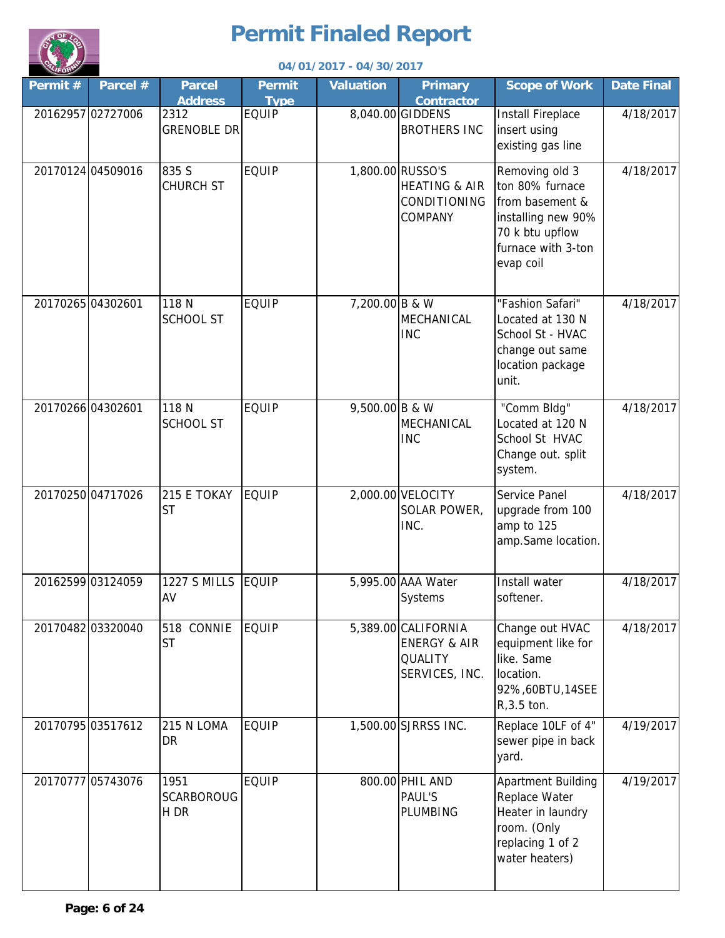

|                   |                   |                                   |                       | 04/01/2017 - 04/30/2017 |                                                                                    |                                                                                                                                  |                   |
|-------------------|-------------------|-----------------------------------|-----------------------|-------------------------|------------------------------------------------------------------------------------|----------------------------------------------------------------------------------------------------------------------------------|-------------------|
| Permit#           | Parcel #          | <b>Parcel</b><br><b>Address</b>   | Permit<br><b>Type</b> | <b>Valuation</b>        | <b>Primary</b><br><b>Contractor</b>                                                | <b>Scope of Work</b>                                                                                                             | <b>Date Final</b> |
|                   | 20162957 02727006 | 2312<br><b>GRENOBLE DR</b>        | <b>EQUIP</b>          |                         | 8,040.00 GIDDENS<br><b>BROTHERS INC</b>                                            | <b>Install Fireplace</b><br>insert using<br>existing gas line                                                                    | 4/18/2017         |
|                   | 20170124 04509016 | 835 S<br><b>CHURCH ST</b>         | <b>EQUIP</b>          |                         | 1,800.00 RUSSO'S<br><b>HEATING &amp; AIR</b><br>CONDITIONING<br><b>COMPANY</b>     | Removing old 3<br>ton 80% furnace<br>from basement &<br>installing new 90%<br>70 k btu upflow<br>furnace with 3-ton<br>evap coil | 4/18/2017         |
| 20170265 04302601 |                   | 118 N<br><b>SCHOOL ST</b>         | <b>EQUIP</b>          | 7,200.00 B & W          | MECHANICAL<br><b>INC</b>                                                           | "Fashion Safari"<br>Located at 130 N<br>School St - HVAC<br>change out same<br>location package<br>unit.                         | 4/18/2017         |
|                   | 20170266 04302601 | 118 N<br><b>SCHOOL ST</b>         | <b>EQUIP</b>          | 9,500.00 B & W          | MECHANICAL<br><b>INC</b>                                                           | "Comm Bldg"<br>Located at 120 N<br>School St HVAC<br>Change out. split<br>system.                                                | 4/18/2017         |
|                   | 20170250 04717026 | 215 E TOKAY<br><b>ST</b>          | <b>EQUIP</b>          |                         | 2,000.00 VELOCITY<br>SOLAR POWER,<br>INC.                                          | Service Panel<br>upgrade from 100<br>amp to 125<br>amp.Same location.                                                            | 4/18/2017         |
|                   | 20162599 03124059 | <b>1227 S MILLS</b><br>AV         | EQUIP                 |                         | 5,995.00 AAA Water<br>Systems                                                      | Install water<br>softener.                                                                                                       | 4/18/2017         |
|                   | 20170482 03320040 | 518 CONNIE<br><b>ST</b>           | <b>EQUIP</b>          |                         | 5,389.00 CALIFORNIA<br><b>ENERGY &amp; AIR</b><br><b>QUALITY</b><br>SERVICES, INC. | Change out HVAC<br>equipment like for<br>like. Same<br>location.<br>92%,60BTU,14SEE<br>$R, 3.5$ ton.                             | 4/18/2017         |
|                   | 20170795 03517612 | 215 N LOMA<br><b>DR</b>           | <b>EQUIP</b>          |                         | 1,500.00 SJRRSS INC.                                                               | Replace 10LF of 4"<br>sewer pipe in back<br>yard.                                                                                | 4/19/2017         |
|                   | 20170777 05743076 | 1951<br><b>SCARBOROUG</b><br>H DR | <b>EQUIP</b>          |                         | 800.00 PHIL AND<br><b>PAUL'S</b><br>PLUMBING                                       | Apartment Building<br>Replace Water<br>Heater in laundry<br>room. (Only<br>replacing 1 of 2<br>water heaters)                    | 4/19/2017         |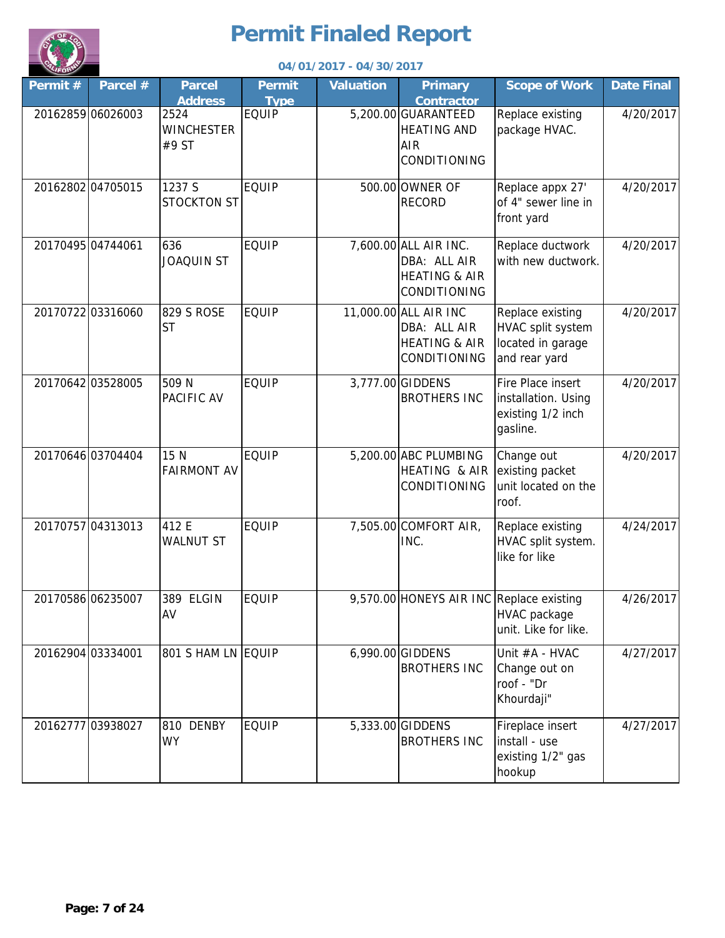

|         |                   |                                                      |                             | 04/01/2017 - 04/30/2017 |                                                                                                     |                                                                             |                   |
|---------|-------------------|------------------------------------------------------|-----------------------------|-------------------------|-----------------------------------------------------------------------------------------------------|-----------------------------------------------------------------------------|-------------------|
| Permit# | Parcel #          | <b>Parcel</b>                                        | <b>Permit</b>               | <b>Valuation</b>        | <b>Primary</b>                                                                                      | <b>Scope of Work</b>                                                        | <b>Date Final</b> |
|         | 20162859 06026003 | <b>Address</b><br>2524<br><b>WINCHESTER</b><br>#9 ST | <b>Type</b><br><b>EQUIP</b> |                         | <b>Contractor</b><br>5,200.00 GUARANTEED<br><b>HEATING AND</b><br><b>AIR</b><br><b>CONDITIONING</b> | Replace existing<br>package HVAC.                                           | 4/20/2017         |
|         | 20162802 04705015 | 1237 S<br><b>STOCKTON ST</b>                         | <b>EQUIP</b>                |                         | 500.00 OWNER OF<br><b>RECORD</b>                                                                    | Replace appx 27'<br>of 4" sewer line in<br>front yard                       | 4/20/2017         |
|         | 20170495 04744061 | 636<br><b>JOAQUIN ST</b>                             | <b>EQUIP</b>                |                         | 7,600.00 ALL AIR INC.<br>DBA: ALL AIR<br><b>HEATING &amp; AIR</b><br>CONDITIONING                   | Replace ductwork<br>with new ductwork.                                      | 4/20/2017         |
|         | 20170722 03316060 | 829 S ROSE<br><b>ST</b>                              | <b>EQUIP</b>                |                         | 11,000.00 ALL AIR INC<br>DBA: ALL AIR<br><b>HEATING &amp; AIR</b><br>CONDITIONING                   | Replace existing<br>HVAC split system<br>located in garage<br>and rear yard | 4/20/2017         |
|         | 20170642 03528005 | 509 N<br>PACIFIC AV                                  | <b>EQUIP</b>                |                         | 3,777.00 GIDDENS<br><b>BROTHERS INC</b>                                                             | Fire Place insert<br>installation. Using<br>existing 1/2 inch<br>gasline.   | 4/20/2017         |
|         | 20170646 03704404 | 15 N<br><b>FAIRMONT AV</b>                           | <b>EQUIP</b>                |                         | 5,200.00 ABC PLUMBING<br>HEATING & AIR<br>CONDITIONING                                              | Change out<br>existing packet<br>unit located on the<br>roof.               | 4/20/2017         |
|         | 20170757 04313013 | 412 E<br><b>WALNUT ST</b>                            | <b>EQUIP</b>                |                         | 7,505.00 COMFORT AIR,<br>INC.                                                                       | Replace existing<br>HVAC split system.<br>like for like                     | 4/24/2017         |
|         | 20170586 06235007 | 389 ELGIN<br>AV                                      | <b>EQUIP</b>                |                         | 9,570.00 HONEYS AIR INC Replace existing                                                            | HVAC package<br>unit. Like for like.                                        | 4/26/2017         |
|         | 20162904 03334001 | 801 S HAM LN EQUIP                                   |                             |                         | 6,990.00 GIDDENS<br><b>BROTHERS INC</b>                                                             | Unit #A - HVAC<br>Change out on<br>roof - "Dr<br>Khourdaji"                 | 4/27/2017         |
|         | 20162777 03938027 | 810 DENBY<br><b>WY</b>                               | <b>EQUIP</b>                |                         | 5,333.00 GIDDENS<br><b>BROTHERS INC</b>                                                             | Fireplace insert<br>install - use<br>existing 1/2" gas<br>hookup            | 4/27/2017         |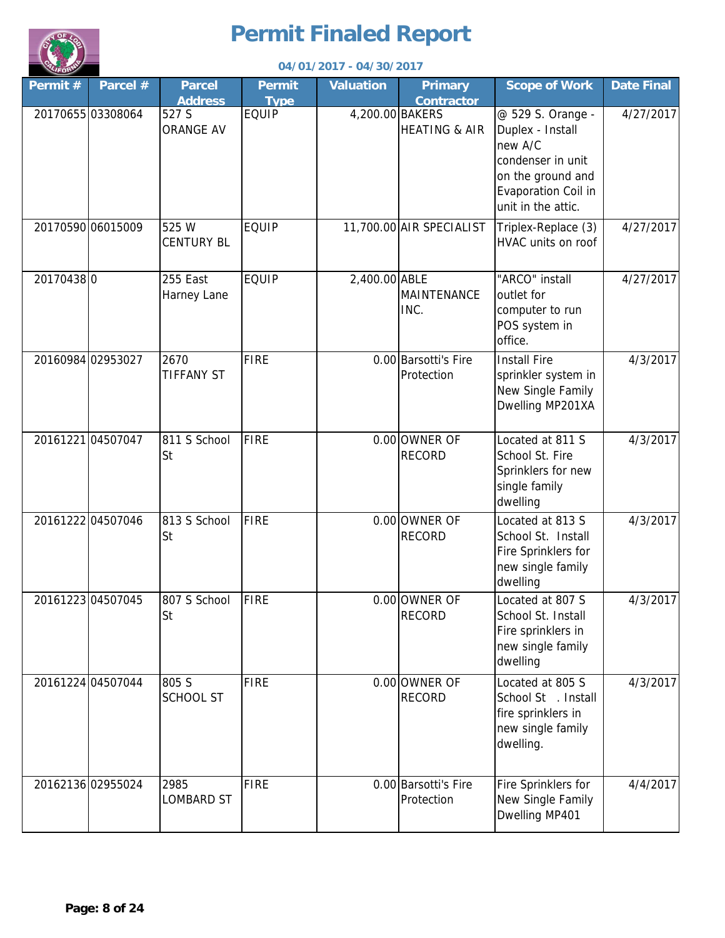

|           |                   |                                 |                              | 04/01/2017 - 04/30/2017 |                                     |                                                                                                                                         |                   |
|-----------|-------------------|---------------------------------|------------------------------|-------------------------|-------------------------------------|-----------------------------------------------------------------------------------------------------------------------------------------|-------------------|
| Permit#   | Parcel #          | <b>Parcel</b><br><b>Address</b> | <b>Permit</b><br><b>Type</b> | <b>Valuation</b>        | <b>Primary</b><br><b>Contractor</b> | <b>Scope of Work</b>                                                                                                                    | <b>Date Final</b> |
|           | 2017065503308064  | 527 S<br><b>ORANGE AV</b>       | <b>EQUIP</b>                 | 4,200.00 BAKERS         | <b>HEATING &amp; AIR</b>            | @ 529 S. Orange -<br>Duplex - Install<br>new A/C<br>condenser in unit<br>on the ground and<br>Evaporation Coil in<br>unit in the attic. | 4/27/2017         |
|           | 20170590 06015009 | 525 W<br><b>CENTURY BL</b>      | <b>EQUIP</b>                 |                         | 11,700.00 AIR SPECIALIST            | Triplex-Replace (3)<br>HVAC units on roof                                                                                               | 4/27/2017         |
| 201704380 |                   | 255 East<br>Harney Lane         | <b>EQUIP</b>                 | 2,400.00 ABLE           | MAINTENANCE<br>INC.                 | "ARCO" install<br>outlet for<br>computer to run<br>POS system in<br>office.                                                             | 4/27/2017         |
|           | 20160984 02953027 | 2670<br><b>TIFFANY ST</b>       | <b>FIRE</b>                  |                         | 0.00 Barsotti's Fire<br>Protection  | <b>Install Fire</b><br>sprinkler system in<br>New Single Family<br>Dwelling MP201XA                                                     | 4/3/2017          |
|           | 20161221 04507047 | 811 S School<br><b>St</b>       | <b>FIRE</b>                  |                         | 0.00 OWNER OF<br><b>RECORD</b>      | Located at 811 S<br>School St. Fire<br>Sprinklers for new<br>single family<br>dwelling                                                  | 4/3/2017          |
|           | 20161222 04507046 | 813 S School<br><b>St</b>       | <b>FIRE</b>                  |                         | 0.00 OWNER OF<br><b>RECORD</b>      | Located at 813 S<br>School St. Install<br>Fire Sprinklers for<br>new single family<br>dwelling                                          | 4/3/2017          |
|           | 20161223 04507045 | 807 S School<br>St              | FIRE                         |                         | 0.00 OWNER OF<br><b>RECORD</b>      | Located at 807 S<br>School St. Install<br>Fire sprinklers in<br>new single family<br>dwelling                                           | 4/3/2017          |
|           | 20161224 04507044 | 805 S<br><b>SCHOOL ST</b>       | <b>FIRE</b>                  |                         | 0.00 OWNER OF<br><b>RECORD</b>      | Located at 805 S<br>School St . Install<br>fire sprinklers in<br>new single family<br>dwelling.                                         | 4/3/2017          |
|           | 20162136 02955024 | 2985<br><b>LOMBARD ST</b>       | <b>FIRE</b>                  |                         | 0.00 Barsotti's Fire<br>Protection  | Fire Sprinklers for<br>New Single Family<br>Dwelling MP401                                                                              | 4/4/2017          |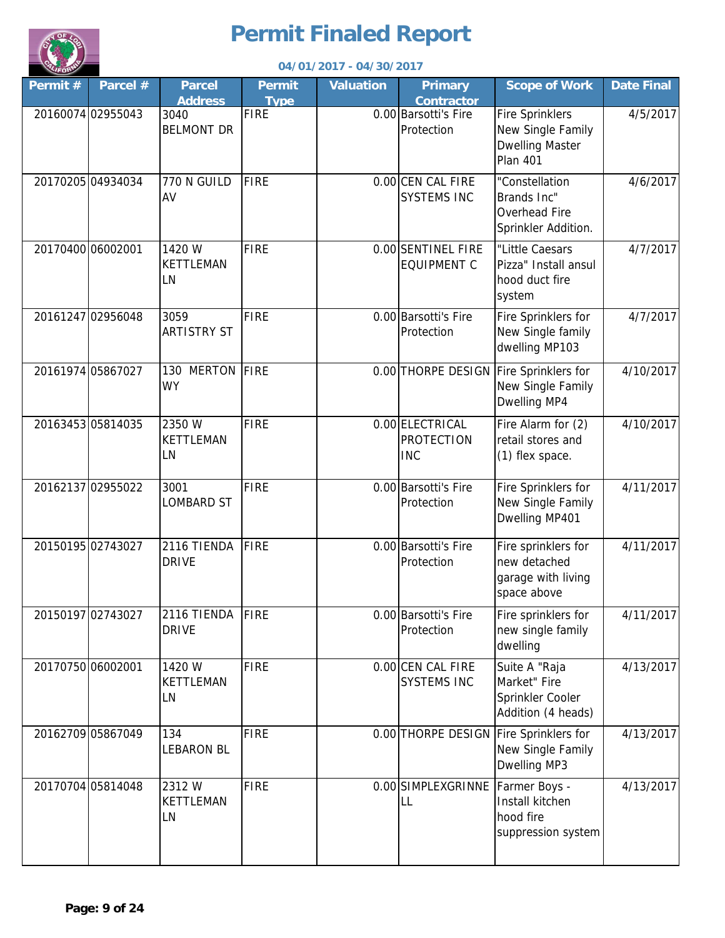

|                   |                   |                                  |                              | 04/01/2017 - 04/30/2017 |                                                    |                                                                                          |                   |
|-------------------|-------------------|----------------------------------|------------------------------|-------------------------|----------------------------------------------------|------------------------------------------------------------------------------------------|-------------------|
| Permit#           | Parcel #          | <b>Parcel</b><br><b>Address</b>  | <b>Permit</b><br><b>Type</b> | <b>Valuation</b>        | <b>Primary</b><br><b>Contractor</b>                | <b>Scope of Work</b>                                                                     | <b>Date Final</b> |
|                   | 20160074 02955043 | 3040<br><b>BELMONT DR</b>        | <b>FIRE</b>                  |                         | 0.00 Barsotti's Fire<br>Protection                 | <b>Fire Sprinklers</b><br>New Single Family<br><b>Dwelling Master</b><br><b>Plan 401</b> | 4/5/2017          |
|                   | 20170205 04934034 | 770 N GUILD<br>AV                | <b>FIRE</b>                  |                         | 0.00 CEN CAL FIRE<br><b>SYSTEMS INC</b>            | "Constellation<br>Brands Inc"<br>Overhead Fire<br>Sprinkler Addition.                    | 4/6/2017          |
|                   | 20170400 06002001 | 1420 W<br><b>KETTLEMAN</b><br>LN | <b>FIRE</b>                  |                         | 0.00 SENTINEL FIRE<br><b>EQUIPMENT C</b>           | "Little Caesars<br>Pizza" Install ansul<br>hood duct fire<br>system                      | 4/7/2017          |
|                   | 20161247 02956048 | 3059<br><b>ARTISTRY ST</b>       | <b>FIRE</b>                  |                         | 0.00 Barsotti's Fire<br>Protection                 | Fire Sprinklers for<br>New Single family<br>dwelling MP103                               | 4/7/2017          |
|                   | 20161974 05867027 | 130 MERTON FIRE<br><b>WY</b>     |                              |                         | 0.00 THORPE DESIGN                                 | Fire Sprinklers for<br>New Single Family<br>Dwelling MP4                                 | 4/10/2017         |
|                   | 20163453 05814035 | 2350 W<br>KETTLEMAN<br>LN        | <b>FIRE</b>                  |                         | 0.00 ELECTRICAL<br><b>PROTECTION</b><br><b>INC</b> | Fire Alarm for (2)<br>retail stores and<br>(1) flex space.                               | 4/10/2017         |
|                   | 20162137 02955022 | 3001<br>LOMBARD ST               | <b>FIRE</b>                  |                         | 0.00 Barsotti's Fire<br>Protection                 | Fire Sprinklers for<br>New Single Family<br>Dwelling MP401                               | 4/11/2017         |
|                   | 2015019502743027  | 2116 TIENDA<br><b>DRIVE</b>      | FIRE                         |                         | 0.00 Barsotti's Fire<br>Protection                 | Fire sprinklers for<br>new detached<br>garage with living<br>space above                 | 4/11/2017         |
| 20150197 02743027 |                   | 2116 TIENDA<br><b>DRIVE</b>      | <b>FIRE</b>                  |                         | 0.00 Barsotti's Fire<br>Protection                 | Fire sprinklers for<br>new single family<br>dwelling                                     | 4/11/2017         |
| 20170750 06002001 |                   | 1420 W<br>KETTLEMAN<br>LN        | <b>FIRE</b>                  |                         | 0.00 CEN CAL FIRE<br><b>SYSTEMS INC</b>            | Suite A "Raja<br>Market" Fire<br>Sprinkler Cooler<br>Addition (4 heads)                  | 4/13/2017         |
|                   | 20162709 05867049 | 134<br><b>LEBARON BL</b>         | <b>FIRE</b>                  |                         | 0.00 THORPE DESIGN                                 | Fire Sprinklers for<br>New Single Family<br>Dwelling MP3                                 | 4/13/2017         |
|                   | 20170704 05814048 | 2312W<br>KETTLEMAN<br>LN         | <b>FIRE</b>                  |                         | 0.00 SIMPLEXGRINNE<br>LL                           | Farmer Boys -<br>Install kitchen<br>hood fire<br>suppression system                      | 4/13/2017         |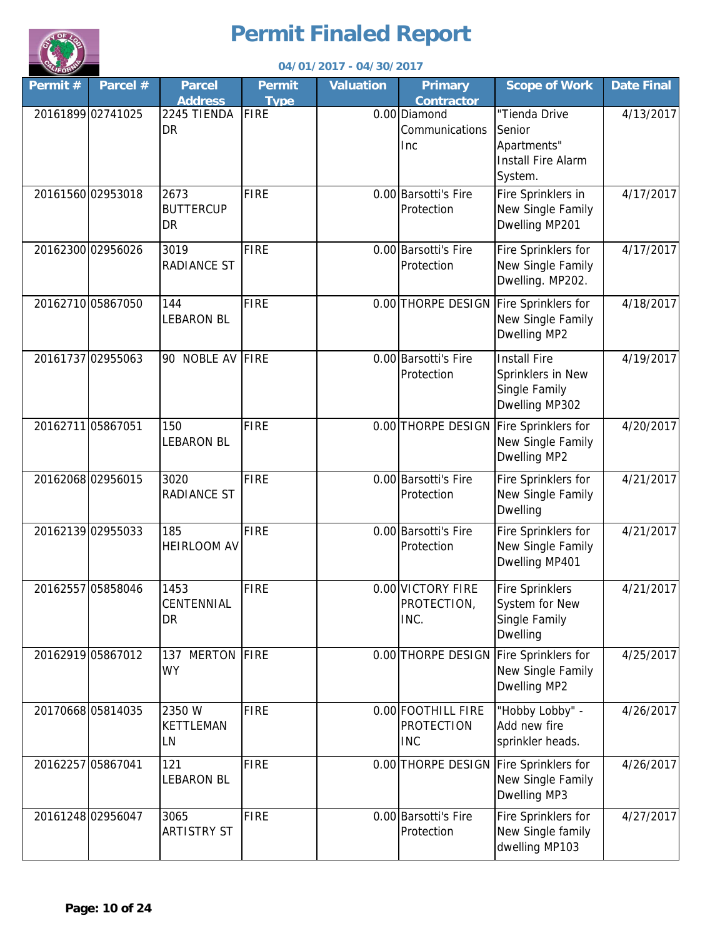

|         |                   |                                       |                              | 04/01/2017 - 04/30/2017 |                                                       |                                                                                |                   |
|---------|-------------------|---------------------------------------|------------------------------|-------------------------|-------------------------------------------------------|--------------------------------------------------------------------------------|-------------------|
| Permit# | Parcel #          | <b>Parcel</b><br><b>Address</b>       | <b>Permit</b><br><b>Type</b> | <b>Valuation</b>        | <b>Primary</b><br><b>Contractor</b>                   | <b>Scope of Work</b>                                                           | <b>Date Final</b> |
|         | 20161899 02741025 | 2245 TIENDA<br>DR                     | <b>FIRE</b>                  |                         | 0.00 Diamond<br>Communications<br>Inc                 | "Tienda Drive<br>Senior<br>Apartments"<br><b>Install Fire Alarm</b><br>System. | 4/13/2017         |
|         | 20161560 02953018 | 2673<br><b>BUTTERCUP</b><br><b>DR</b> | <b>FIRE</b>                  |                         | 0.00 Barsotti's Fire<br>Protection                    | Fire Sprinklers in<br>New Single Family<br>Dwelling MP201                      | 4/17/2017         |
|         | 20162300 02956026 | 3019<br><b>RADIANCE ST</b>            | <b>FIRE</b>                  |                         | 0.00 Barsotti's Fire<br>Protection                    | Fire Sprinklers for<br>New Single Family<br>Dwelling. MP202.                   | 4/17/2017         |
|         | 20162710 05867050 | 144<br><b>LEBARON BL</b>              | <b>FIRE</b>                  |                         | 0.00 THORPE DESIGN                                    | Fire Sprinklers for<br>New Single Family<br>Dwelling MP2                       | 4/18/2017         |
|         | 20161737 02955063 | 90 NOBLE AV FIRE                      |                              |                         | 0.00 Barsotti's Fire<br>Protection                    | <b>Install Fire</b><br>Sprinklers in New<br>Single Family<br>Dwelling MP302    | 4/19/2017         |
|         | 20162711 05867051 | 150<br><b>LEBARON BL</b>              | <b>FIRE</b>                  |                         |                                                       | 0.00 THORPE DESIGN Fire Sprinklers for<br>New Single Family<br>Dwelling MP2    | 4/20/2017         |
|         | 2016206802956015  | 3020<br><b>RADIANCE ST</b>            | <b>FIRE</b>                  |                         | 0.00 Barsotti's Fire<br>Protection                    | Fire Sprinklers for<br>New Single Family<br><b>Dwelling</b>                    | 4/21/2017         |
|         | 20162139 02955033 | 185<br><b>HEIRLOOM AV</b>             | <b>FIRE</b>                  |                         | 0.00 Barsotti's Fire<br>Protection                    | Fire Sprinklers for<br>New Single Family<br>Dwelling MP401                     | 4/21/2017         |
|         | 20162557 05858046 | 1453<br>CENTENNIAL<br>DR              | FIRE                         |                         | 0.00 VICTORY FIRE<br>PROTECTION,<br>INC.              | <b>Fire Sprinklers</b><br>System for New<br>Single Family<br><b>Dwelling</b>   | 4/21/2017         |
|         | 20162919 05867012 | 137 MERTON FIRE<br><b>WY</b>          |                              |                         | 0.00 THORPE DESIGN                                    | Fire Sprinklers for<br>New Single Family<br>Dwelling MP2                       | 4/25/2017         |
|         | 20170668 05814035 | 2350 W<br><b>KETTLEMAN</b><br>LN      | <b>FIRE</b>                  |                         | 0.00 FOOTHILL FIRE<br><b>PROTECTION</b><br><b>INC</b> | "Hobby Lobby" -<br>Add new fire<br>sprinkler heads.                            | 4/26/2017         |
|         | 20162257 05867041 | 121<br><b>LEBARON BL</b>              | <b>FIRE</b>                  |                         |                                                       | 0.00 THORPE DESIGN Fire Sprinklers for<br>New Single Family<br>Dwelling MP3    | 4/26/2017         |
|         | 20161248 02956047 | 3065<br><b>ARTISTRY ST</b>            | <b>FIRE</b>                  |                         | 0.00 Barsotti's Fire<br>Protection                    | Fire Sprinklers for<br>New Single family<br>dwelling MP103                     | 4/27/2017         |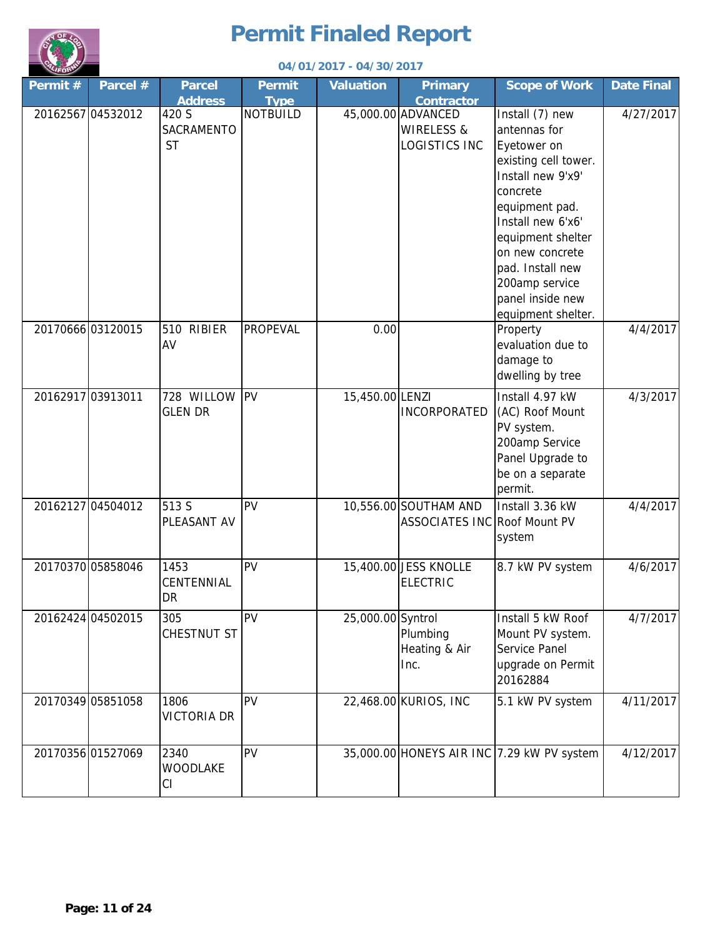

| <b>CALIFORNY</b> |                   |                                  |                              | 04/01/2017 - 04/30/2017 |                                                       |                                                                                                                                                                                                                                                                        |                   |
|------------------|-------------------|----------------------------------|------------------------------|-------------------------|-------------------------------------------------------|------------------------------------------------------------------------------------------------------------------------------------------------------------------------------------------------------------------------------------------------------------------------|-------------------|
| Permit#          | Parcel #          | <b>Parcel</b><br><b>Address</b>  | <b>Permit</b><br><b>Type</b> | <b>Valuation</b>        | <b>Primary</b><br><b>Contractor</b>                   | <b>Scope of Work</b>                                                                                                                                                                                                                                                   | <b>Date Final</b> |
|                  | 20162567 04532012 | 420 S<br>SACRAMENTO<br><b>ST</b> | <b>NOTBUILD</b>              |                         | 45,000.00 ADVANCED<br>WIRELESS &<br>LOGISTICS INC     | Install (7) new<br>antennas for<br>Eyetower on<br>existing cell tower.<br>Install new 9'x9'<br>concrete<br>equipment pad.<br>Install new 6'x6'<br>equipment shelter<br>on new concrete<br>pad. Install new<br>200amp service<br>panel inside new<br>equipment shelter. | 4/27/2017         |
|                  | 20170666 03120015 | <b>RIBIER</b><br>510<br>AV       | PROPEVAL                     | 0.00                    |                                                       | Property<br>evaluation due to<br>damage to<br>dwelling by tree                                                                                                                                                                                                         | 4/4/2017          |
|                  | 20162917 03913011 | 728 WILLOW<br><b>GLEN DR</b>     | <b>IPV</b>                   | 15,450.00 LENZI         | <b>INCORPORATED</b>                                   | Install 4.97 kW<br>(AC) Roof Mount<br>PV system.<br>200amp Service<br>Panel Upgrade to<br>be on a separate<br>permit.                                                                                                                                                  | 4/3/2017          |
|                  | 20162127 04504012 | 513 S<br>PLEASANT AV             | PV                           |                         | 10,556.00 SOUTHAM AND<br>ASSOCIATES INC Roof Mount PV | Install 3.36 kW<br>system                                                                                                                                                                                                                                              | 4/4/2017          |
|                  | 20170370 05858046 | 1453<br>CENTENNIAL<br>DR         | PV                           |                         | 15,400.00 JESS KNOLLE<br><b>ELECTRIC</b>              | 8.7 kW PV system                                                                                                                                                                                                                                                       | 4/6/2017          |
|                  | 20162424 04502015 | 305<br>CHESTNUT ST               | PV                           | 25,000.00 Syntrol       | Plumbing<br>Heating & Air<br>Inc.                     | Install 5 kW Roof<br>Mount PV system.<br>Service Panel<br>upgrade on Permit<br>20162884                                                                                                                                                                                | 4/7/2017          |
|                  | 20170349 05851058 | 1806<br><b>VICTORIA DR</b>       | PV                           |                         | 22,468.00 KURIOS, INC                                 | 5.1 kW PV system                                                                                                                                                                                                                                                       | 4/11/2017         |
|                  | 20170356 01527069 | 2340<br><b>WOODLAKE</b><br>CI    | PV                           |                         |                                                       | 35,000.00 HONEYS AIR INC 7.29 kW PV system                                                                                                                                                                                                                             | 4/12/2017         |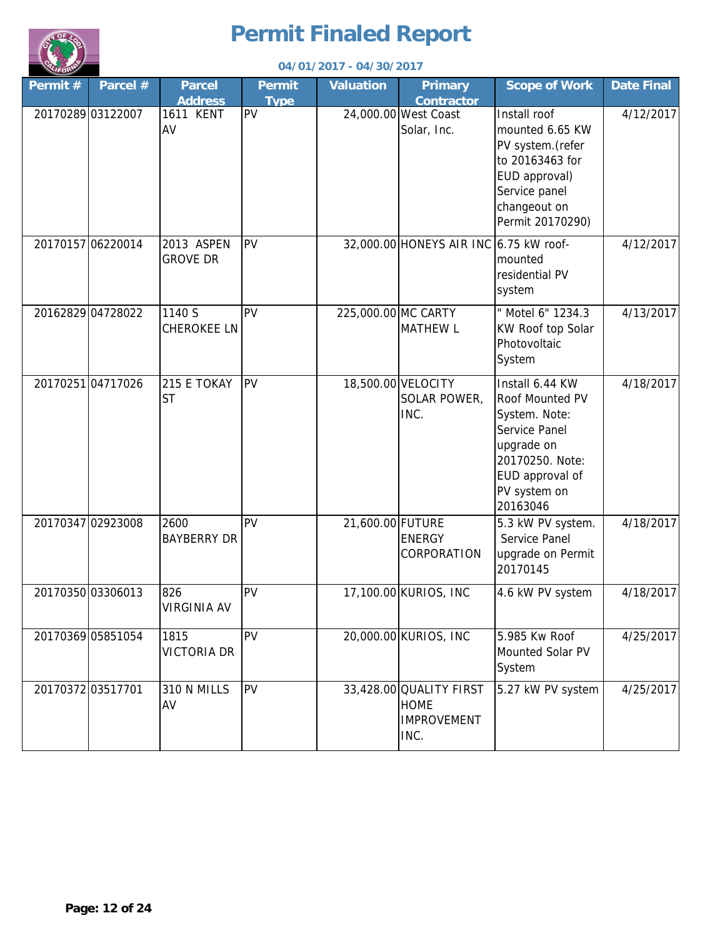

| 04/01/2017 - 04/30/2017 |                   |                                 |                              |                     |                                                                      |                                                                                                                                                      |                   |  |  |
|-------------------------|-------------------|---------------------------------|------------------------------|---------------------|----------------------------------------------------------------------|------------------------------------------------------------------------------------------------------------------------------------------------------|-------------------|--|--|
| Permit#                 | Parcel #          | <b>Parcel</b><br><b>Address</b> | <b>Permit</b><br><b>Type</b> | <b>Valuation</b>    | <b>Primary</b><br><b>Contractor</b>                                  | <b>Scope of Work</b>                                                                                                                                 | <b>Date Final</b> |  |  |
|                         | 20170289 03122007 | <b>1611 KENT</b><br>AV          | PV                           |                     | 24,000.00 West Coast<br>Solar, Inc.                                  | Install roof<br>mounted 6.65 KW<br>PV system. (refer<br>to 20163463 for<br>EUD approval)<br>Service panel<br>changeout on<br>Permit 20170290)        | 4/12/2017         |  |  |
|                         | 20170157 06220014 | 2013 ASPEN<br><b>GROVE DR</b>   | PV                           |                     | 32,000.00 HONEYS AIR INC 6.75 kW roof-                               | mounted<br>residential PV<br>system                                                                                                                  | 4/12/2017         |  |  |
|                         | 20162829 04728022 | 1140 S<br><b>CHEROKEE LN</b>    | PV                           | 225,000.00 MC CARTY | <b>MATHEW L</b>                                                      | " Motel 6" 1234.3<br>KW Roof top Solar<br>Photovoltaic<br>System                                                                                     | 4/13/2017         |  |  |
|                         | 2017025104717026  | 215 E TOKAY<br><b>ST</b>        | PV                           |                     | 18,500.00 VELOCITY<br>SOLAR POWER,<br>INC.                           | Install 6.44 KW<br>Roof Mounted PV<br>System. Note:<br>Service Panel<br>upgrade on<br>20170250. Note:<br>EUD approval of<br>PV system on<br>20163046 | 4/18/2017         |  |  |
|                         | 20170347 02923008 | 2600<br><b>BAYBERRY DR</b>      | PV                           | 21,600.00 FUTURE    | <b>ENERGY</b><br>CORPORATION                                         | 5.3 kW PV system.<br>Service Panel<br>upgrade on Permit<br>20170145                                                                                  | 4/18/2017         |  |  |
|                         | 20170350 03306013 | 826<br><b>VIRGINIA AV</b>       | PV                           |                     | 17,100.00 KURIOS, INC                                                | 4.6 kW PV system                                                                                                                                     | 4/18/2017         |  |  |
|                         | 20170369 05851054 | 1815<br><b>VICTORIA DR</b>      | PV                           |                     | 20,000.00 KURIOS, INC                                                | 5.985 Kw Roof<br>Mounted Solar PV<br>System                                                                                                          | 4/25/2017         |  |  |
|                         | 2017037203517701  | 310 N MILLS<br>AV               | PV                           |                     | 33,428.00 QUALITY FIRST<br><b>HOME</b><br><b>IMPROVEMENT</b><br>INC. | 5.27 kW PV system                                                                                                                                    | 4/25/2017         |  |  |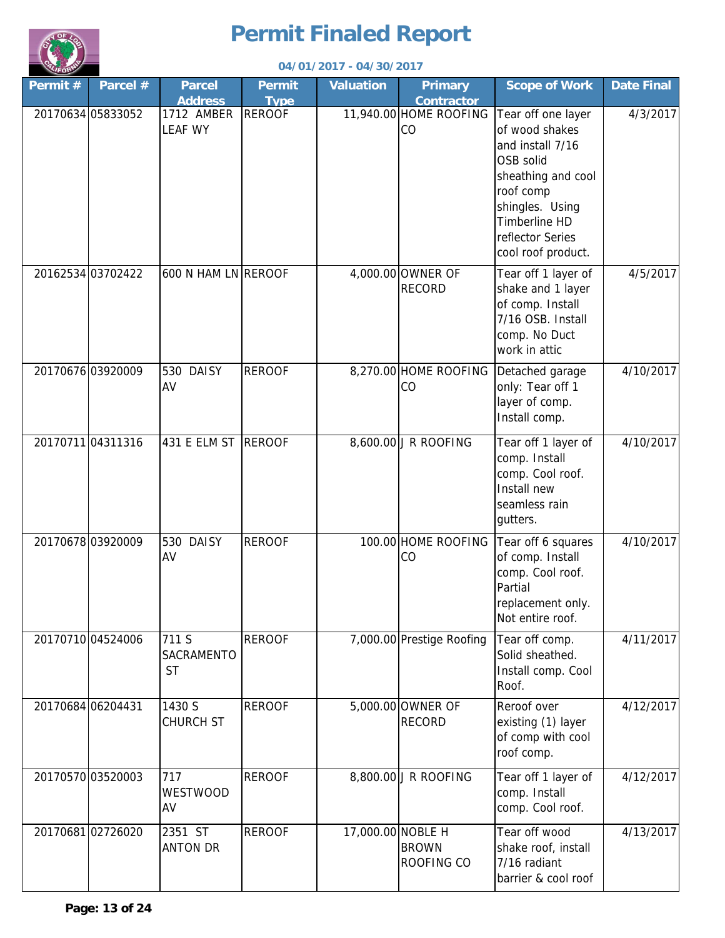

| LIFORD  |                   |                                  |                              | 04/01/2017 - 04/30/2017 |                                     |                                                                                                                                                                                        |                   |
|---------|-------------------|----------------------------------|------------------------------|-------------------------|-------------------------------------|----------------------------------------------------------------------------------------------------------------------------------------------------------------------------------------|-------------------|
| Permit# | Parcel #          | <b>Parcel</b><br><b>Address</b>  | <b>Permit</b><br><b>Type</b> | <b>Valuation</b>        | <b>Primary</b><br><b>Contractor</b> | <b>Scope of Work</b>                                                                                                                                                                   | <b>Date Final</b> |
|         | 20170634 05833052 | 1712 AMBER<br><b>LEAF WY</b>     | <b>REROOF</b>                |                         | 11,940.00 HOME ROOFING<br>CO        | Tear off one layer<br>of wood shakes<br>and install 7/16<br>OSB solid<br>sheathing and cool<br>roof comp<br>shingles. Using<br>Timberline HD<br>reflector Series<br>cool roof product. | 4/3/2017          |
|         | 20162534 03702422 | 600 N HAM LN REROOF              |                              |                         | 4,000.00 OWNER OF<br><b>RECORD</b>  | Tear off 1 layer of<br>shake and 1 layer<br>of comp. Install<br>7/16 OSB. Install<br>comp. No Duct<br>work in attic                                                                    | 4/5/2017          |
|         | 20170676 03920009 | 530 DAISY<br>AV                  | <b>REROOF</b>                |                         | 8,270.00 HOME ROOFING<br>CO         | Detached garage<br>only: Tear off 1<br>layer of comp.<br>Install comp.                                                                                                                 | 4/10/2017         |
|         | 20170711 04311316 | 431 E ELM ST REROOF              |                              |                         | 8,600.00 J R ROOFING                | Tear off 1 layer of<br>comp. Install<br>comp. Cool roof.<br>Install new<br>seamless rain<br>gutters.                                                                                   | 4/10/2017         |
|         | 20170678 03920009 | 530 DAISY<br>AV                  | <b>REROOF</b>                |                         | 100.00 HOME ROOFING<br>CO           | Tear off 6 squares<br>of comp. Install<br>comp. Cool roof.<br>Partial<br>replacement only.<br>Not entire roof.                                                                         | 4/10/2017         |
|         | 20170710 04524006 | 711 S<br>SACRAMENTO<br><b>ST</b> | <b>REROOF</b>                |                         | 7,000.00 Prestige Roofing           | Tear off comp.<br>Solid sheathed.<br>Install comp. Cool<br>Roof.                                                                                                                       | 4/11/2017         |
|         | 20170684 06204431 | 1430 S<br><b>CHURCH ST</b>       | <b>REROOF</b>                |                         | 5,000.00 OWNER OF<br><b>RECORD</b>  | Reroof over<br>existing (1) layer<br>of comp with cool<br>roof comp.                                                                                                                   | 4/12/2017         |
|         | 20170570 03520003 | 717<br><b>WESTWOOD</b><br>AV     | <b>REROOF</b>                |                         | 8,800.00 J R ROOFING                | Tear off 1 layer of<br>comp. Install<br>comp. Cool roof.                                                                                                                               | 4/12/2017         |
|         | 20170681 02726020 | 2351 ST<br><b>ANTON DR</b>       | <b>REROOF</b>                | 17,000.00 NOBLE H       | <b>BROWN</b><br>ROOFING CO          | Tear off wood<br>shake roof, install<br>7/16 radiant<br>barrier & cool roof                                                                                                            | 4/13/2017         |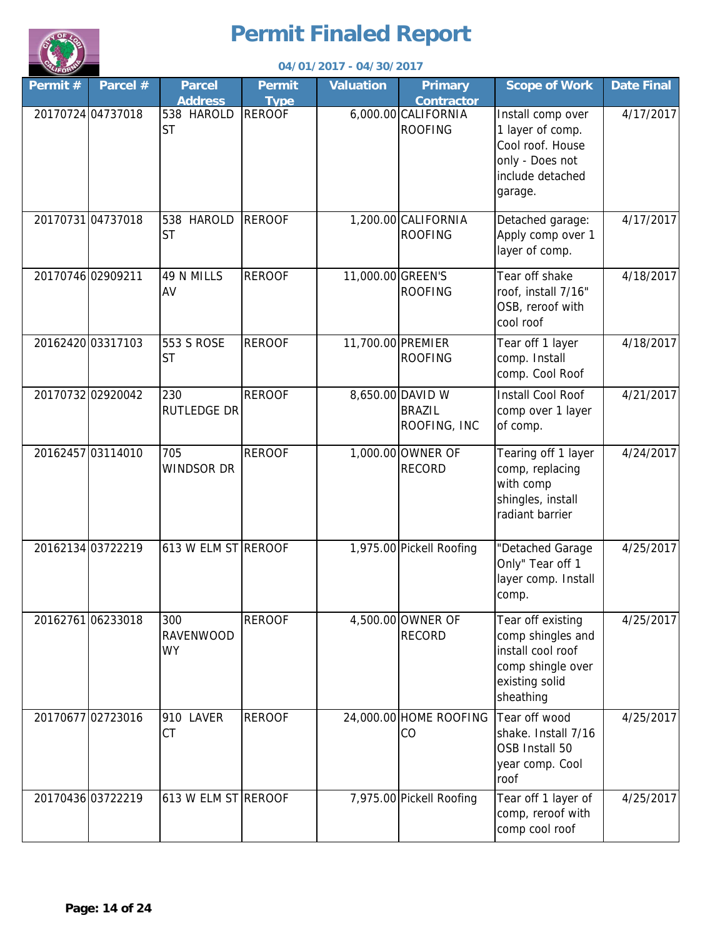

|                   | 04/01/2017 - 04/30/2017 |                                      |                              |                   |                                                   |                                                                                                                 |                   |  |  |
|-------------------|-------------------------|--------------------------------------|------------------------------|-------------------|---------------------------------------------------|-----------------------------------------------------------------------------------------------------------------|-------------------|--|--|
| Permit#           | Parcel #                | <b>Parcel</b><br><b>Address</b>      | <b>Permit</b><br><b>Type</b> | <b>Valuation</b>  | <b>Primary</b><br><b>Contractor</b>               | <b>Scope of Work</b>                                                                                            | <b>Date Final</b> |  |  |
| 20170724 04737018 |                         | 538 HAROLD<br><b>ST</b>              | <b>REROOF</b>                |                   | 6,000.00 CALIFORNIA<br><b>ROOFING</b>             | Install comp over<br>1 layer of comp.<br>Cool roof. House<br>only - Does not<br>include detached<br>garage.     | 4/17/2017         |  |  |
|                   | 20170731 04737018       | 538 HAROLD<br><b>ST</b>              | <b>REROOF</b>                |                   | 1,200.00 CALIFORNIA<br><b>ROOFING</b>             | Detached garage:<br>Apply comp over 1<br>layer of comp.                                                         | 4/17/2017         |  |  |
| 20170746 02909211 |                         | 49 N MILLS<br>AV                     | <b>REROOF</b>                | 11,000.00 GREEN'S | <b>ROOFING</b>                                    | Tear off shake<br>roof, install 7/16"<br>OSB, reroof with<br>cool roof                                          | 4/18/2017         |  |  |
|                   | 20162420 03317103       | 553 S ROSE<br><b>ST</b>              | <b>REROOF</b>                | 11,700.00 PREMIER | <b>ROOFING</b>                                    | Tear off 1 layer<br>comp. Install<br>comp. Cool Roof                                                            | 4/18/2017         |  |  |
| 20170732 02920042 |                         | 230<br><b>RUTLEDGE DR</b>            | <b>REROOF</b>                |                   | 8,650.00 DAVID W<br><b>BRAZIL</b><br>ROOFING, INC | <b>Install Cool Roof</b><br>comp over 1 layer<br>of comp.                                                       | 4/21/2017         |  |  |
| 20162457 03114010 |                         | 705<br><b>WINDSOR DR</b>             | <b>REROOF</b>                |                   | 1,000.00 OWNER OF<br><b>RECORD</b>                | Tearing off 1 layer<br>comp, replacing<br>with comp<br>shingles, install<br>radiant barrier                     | 4/24/2017         |  |  |
| 20162134 03722219 |                         | 613 W ELM ST REROOF                  |                              |                   | 1,975.00 Pickell Roofing                          | "Detached Garage<br>Only" Tear off 1<br>layer comp. Install<br>comp.                                            | 4/25/2017         |  |  |
| 20162761 06233018 |                         | 300<br><b>RAVENWOOD</b><br><b>WY</b> | <b>REROOF</b>                |                   | 4,500.00 OWNER OF<br><b>RECORD</b>                | Tear off existing<br>comp shingles and<br>install cool roof<br>comp shingle over<br>existing solid<br>sheathing | 4/25/2017         |  |  |
| 20170677 02723016 |                         | 910 LAVER<br><b>CT</b>               | <b>REROOF</b>                |                   | 24,000.00 HOME ROOFING<br>CO                      | Tear off wood<br>shake. Install 7/16<br>OSB Install 50<br>year comp. Cool<br>roof                               | 4/25/2017         |  |  |
| 20170436 03722219 |                         | 613 W ELM ST REROOF                  |                              |                   | 7,975.00 Pickell Roofing                          | Tear off 1 layer of<br>comp, reroof with<br>comp cool roof                                                      | 4/25/2017         |  |  |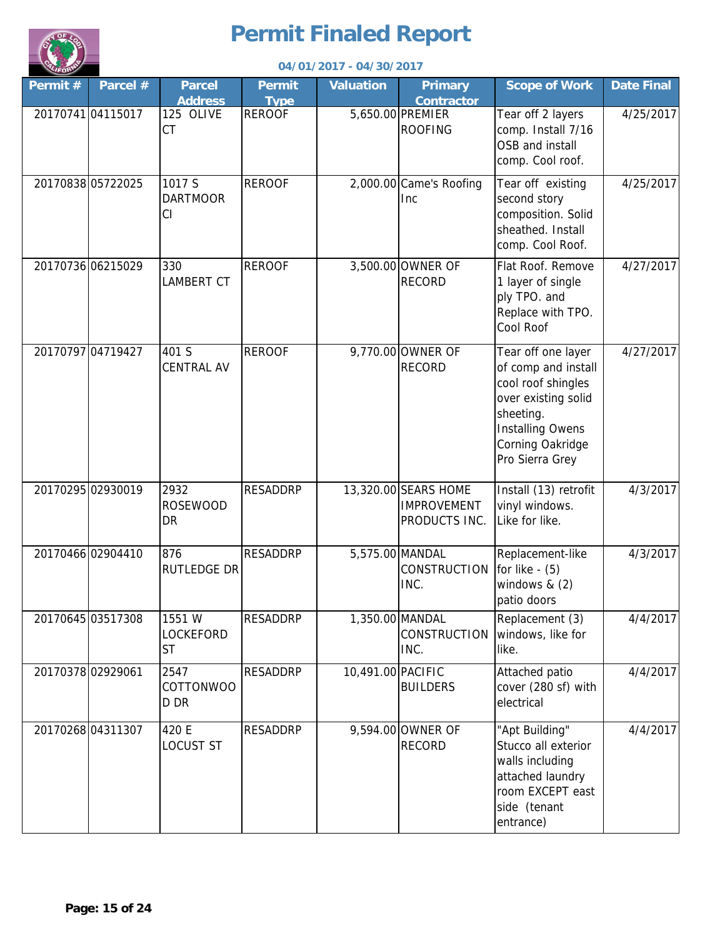

|         |                   |                                      |                              | 04/01/2017 - 04/30/2017 |                                                             |                                                                                                                                                                       |                   |
|---------|-------------------|--------------------------------------|------------------------------|-------------------------|-------------------------------------------------------------|-----------------------------------------------------------------------------------------------------------------------------------------------------------------------|-------------------|
| Permit# | Parcel #          | <b>Parcel</b><br><b>Address</b>      | <b>Permit</b><br><b>Type</b> | <b>Valuation</b>        | <b>Primary</b><br><b>Contractor</b>                         | <b>Scope of Work</b>                                                                                                                                                  | <b>Date Final</b> |
|         | 20170741 04115017 | 125 OLIVE<br><b>CT</b>               | <b>REROOF</b>                |                         | 5,650.00 PREMIER<br><b>ROOFING</b>                          | Tear off 2 layers<br>comp. Install 7/16<br>OSB and install<br>comp. Cool roof.                                                                                        | 4/25/2017         |
|         | 20170838 05722025 | 1017 S<br><b>DARTMOOR</b><br>CI      | <b>REROOF</b>                |                         | 2,000.00 Came's Roofing<br>Inc                              | Tear off existing<br>second story<br>composition. Solid<br>sheathed. Install<br>comp. Cool Roof.                                                                      | 4/25/2017         |
|         | 20170736 06215029 | 330<br><b>LAMBERT CT</b>             | <b>REROOF</b>                |                         | 3,500.00 OWNER OF<br><b>RECORD</b>                          | Flat Roof. Remove<br>1 layer of single<br>ply TPO. and<br>Replace with TPO.<br>Cool Roof                                                                              | 4/27/2017         |
|         | 20170797 04719427 | 401 S<br><b>CENTRAL AV</b>           | <b>REROOF</b>                |                         | 9,770.00 OWNER OF<br><b>RECORD</b>                          | Tear off one layer<br>of comp and install<br>cool roof shingles<br>over existing solid<br>sheeting.<br><b>Installing Owens</b><br>Corning Oakridge<br>Pro Sierra Grey | 4/27/2017         |
|         | 20170295 02930019 | 2932<br><b>ROSEWOOD</b><br><b>DR</b> | <b>RESADDRP</b>              |                         | 13,320.00 SEARS HOME<br><b>IMPROVEMENT</b><br>PRODUCTS INC. | Install (13) retrofit<br>vinyl windows.<br>Like for like.                                                                                                             | 4/3/2017          |
|         | 20170466 02904410 | 876<br><b>RUTLEDGE DR</b>            | <b>RESADDRP</b>              |                         | 5,575.00 MANDAL<br>CONSTRUCTION<br>INC.                     | Replacement-like<br>for like $-$ (5)<br>windows $& (2)$<br>patio doors                                                                                                | 4/3/2017          |
|         | 20170645 03517308 | 1551 W<br>LOCKEFORD<br><b>ST</b>     | <b>RESADDRP</b>              |                         | 1,350.00 MANDAL<br>CONSTRUCTION<br>INC.                     | Replacement (3)<br>windows, like for<br>like.                                                                                                                         | 4/4/2017          |
|         | 20170378 02929061 | 2547<br><b>COTTONWOO</b><br>D DR     | <b>RESADDRP</b>              | 10,491.00 PACIFIC       | <b>BUILDERS</b>                                             | Attached patio<br>cover (280 sf) with<br>electrical                                                                                                                   | 4/4/2017          |
|         | 2017026804311307  | 420 E<br><b>LOCUST ST</b>            | <b>RESADDRP</b>              |                         | 9,594.00 OWNER OF<br><b>RECORD</b>                          | "Apt Building"<br>Stucco all exterior<br>walls including<br>attached laundry<br>room EXCEPT east<br>side (tenant<br>entrance)                                         | 4/4/2017          |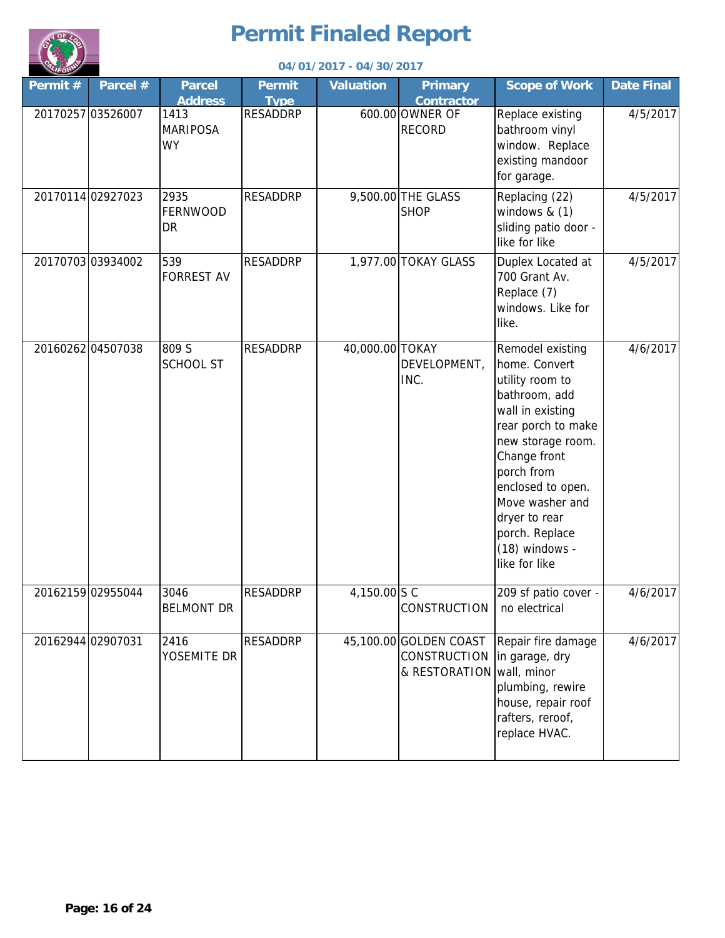

| <b>UFORM</b>      | 04/01/2017 - 04/30/2017 |                                                        |                                |                  |                                                         |                                                                                                                                                                                                                                                                                  |                   |  |  |
|-------------------|-------------------------|--------------------------------------------------------|--------------------------------|------------------|---------------------------------------------------------|----------------------------------------------------------------------------------------------------------------------------------------------------------------------------------------------------------------------------------------------------------------------------------|-------------------|--|--|
| Permit#           | Parcel #                | <b>Parcel</b>                                          | Permit                         | <b>Valuation</b> | <b>Primary</b>                                          | <b>Scope of Work</b>                                                                                                                                                                                                                                                             | <b>Date Final</b> |  |  |
| 20170257 03526007 |                         | <b>Address</b><br>1413<br><b>MARIPOSA</b><br><b>WY</b> | <b>Type</b><br><b>RESADDRP</b> |                  | <b>Contractor</b><br>600.00 OWNER OF<br><b>RECORD</b>   | Replace existing<br>bathroom vinyl<br>window. Replace<br>existing mandoor<br>for garage.                                                                                                                                                                                         | 4/5/2017          |  |  |
|                   | 20170114 02927023       | 2935<br><b>FERNWOOD</b><br><b>DR</b>                   | <b>RESADDRP</b>                |                  | 9,500.00 THE GLASS<br><b>SHOP</b>                       | Replacing (22)<br>windows $& (1)$<br>sliding patio door -<br>like for like                                                                                                                                                                                                       | 4/5/2017          |  |  |
|                   | 2017070303934002        | 539<br><b>FORREST AV</b>                               | <b>RESADDRP</b>                |                  | 1,977.00 TOKAY GLASS                                    | Duplex Located at<br>700 Grant Av.<br>Replace (7)<br>windows. Like for<br>like.                                                                                                                                                                                                  | 4/5/2017          |  |  |
|                   | 20160262 04507038       | 809 S<br><b>SCHOOL ST</b>                              | <b>RESADDRP</b>                | 40,000.00 TOKAY  | DEVELOPMENT,<br>INC.                                    | Remodel existing<br>home. Convert<br>utility room to<br>bathroom, add<br>wall in existing<br>rear porch to make<br>new storage room.<br>Change front<br>porch from<br>enclosed to open.<br>Move washer and<br>dryer to rear<br>porch. Replace<br>(18) windows -<br>like for like | 4/6/2017          |  |  |
|                   | 20162159 02955044       | 3046<br><b>BELMONT DR</b>                              | <b>RESADDRP</b>                | 4,150.00 S C     | CONSTRUCTION                                            | 209 sf patio cover -<br>no electrical                                                                                                                                                                                                                                            | 4/6/2017          |  |  |
| 20162944 02907031 |                         | 2416<br>YOSEMITE DR                                    | <b>RESADDRP</b>                |                  | 45,100.00 GOLDEN COAST<br>CONSTRUCTION<br>& RESTORATION | Repair fire damage<br>in garage, dry<br>wall, minor<br>plumbing, rewire<br>house, repair roof<br>rafters, reroof,<br>replace HVAC.                                                                                                                                               | 4/6/2017          |  |  |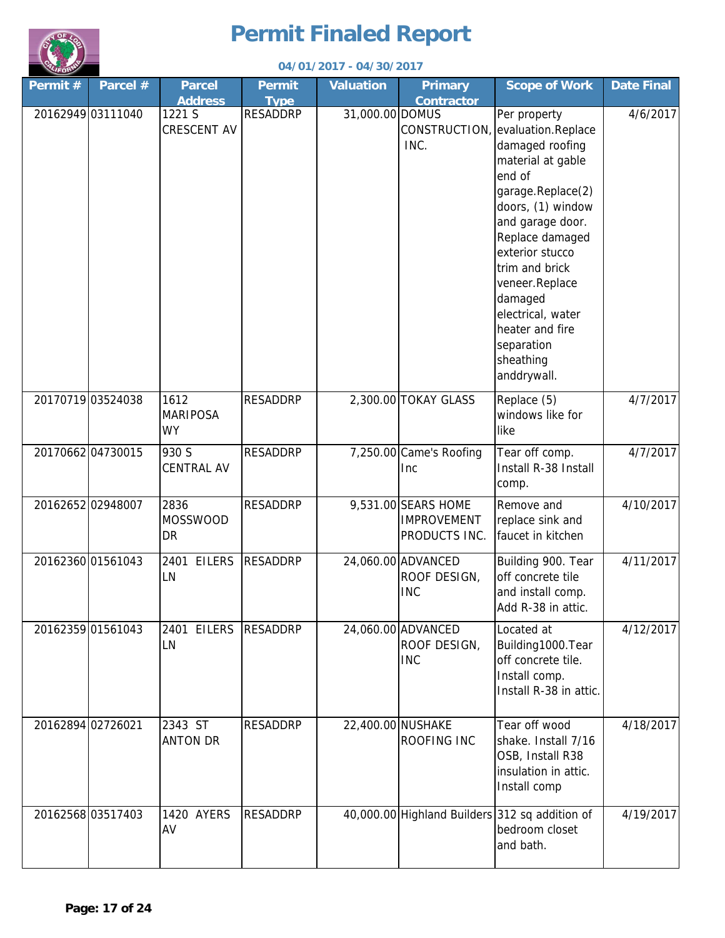

|         | 04/01/2017 - 04/30/2017 |                                      |                              |                  |                                                            |                                                                                                                                                                                                                                                                                                                           |                   |  |  |
|---------|-------------------------|--------------------------------------|------------------------------|------------------|------------------------------------------------------------|---------------------------------------------------------------------------------------------------------------------------------------------------------------------------------------------------------------------------------------------------------------------------------------------------------------------------|-------------------|--|--|
| Permit# | Parcel $#$              | <b>Parcel</b><br><b>Address</b>      | <b>Permit</b><br><b>Type</b> | <b>Valuation</b> | <b>Primary</b><br><b>Contractor</b>                        | <b>Scope of Work</b>                                                                                                                                                                                                                                                                                                      | <b>Date Final</b> |  |  |
|         | 20162949 03111040       | 1221 S<br>CRESCENT AV                | <b>RESADDRP</b>              | 31,000.00 DOMUS  | CONSTRUCTION,<br>INC.                                      | Per property<br>evaluation.Replace<br>damaged roofing<br>material at gable<br>end of<br>garage.Replace(2)<br>doors, (1) window<br>and garage door.<br>Replace damaged<br>exterior stucco<br>trim and brick<br>veneer.Replace<br>damaged<br>electrical, water<br>heater and fire<br>separation<br>sheathing<br>anddrywall. | 4/6/2017          |  |  |
|         | 20170719 03524038       | 1612<br><b>MARIPOSA</b><br><b>WY</b> | <b>RESADDRP</b>              |                  | 2,300.00 TOKAY GLASS                                       | Replace (5)<br>windows like for<br>like                                                                                                                                                                                                                                                                                   | 4/7/2017          |  |  |
|         | 2017066204730015        | 930 S<br><b>CENTRAL AV</b>           | <b>RESADDRP</b>              |                  | 7,250.00 Came's Roofing<br>Inc                             | Tear off comp.<br>Install R-38 Install<br>comp.                                                                                                                                                                                                                                                                           | 4/7/2017          |  |  |
|         | 20162652 02948007       | 2836<br><b>MOSSWOOD</b><br>DR        | <b>RESADDRP</b>              |                  | 9,531.00 SEARS HOME<br><b>IMPROVEMENT</b><br>PRODUCTS INC. | Remove and<br>replace sink and<br>faucet in kitchen                                                                                                                                                                                                                                                                       | 4/10/2017         |  |  |
|         | 2016236001561043        | 2401 EILERS<br>LN                    | <b>RESADDRP</b>              |                  | 24,060.00 ADVANCED<br>ROOF DESIGN,<br><b>INC</b>           | Building 900. Tear<br>off concrete tile<br>and install comp.<br>Add R-38 in attic.                                                                                                                                                                                                                                        | 4/11/2017         |  |  |
|         | 20162359 01561043       | 2401 EILERS<br>LN                    | <b>RESADDRP</b>              |                  | 24,060.00 ADVANCED<br>ROOF DESIGN,<br><b>INC</b>           | Located at<br>Building1000.Tear<br>off concrete tile.<br>Install comp.<br>Install R-38 in attic.                                                                                                                                                                                                                          | 4/12/2017         |  |  |
|         | 20162894 02726021       | 2343 ST<br><b>ANTON DR</b>           | <b>RESADDRP</b>              |                  | 22,400.00 NUSHAKE<br>ROOFING INC                           | Tear off wood<br>shake. Install 7/16<br>OSB, Install R38<br>insulation in attic.<br>Install comp                                                                                                                                                                                                                          | 4/18/2017         |  |  |
|         | 20162568 03517403       | 1420 AYERS<br>AV                     | <b>RESADDRP</b>              |                  |                                                            | 40,000.00 Highland Builders 312 sq addition of<br>bedroom closet<br>and bath.                                                                                                                                                                                                                                             | 4/19/2017         |  |  |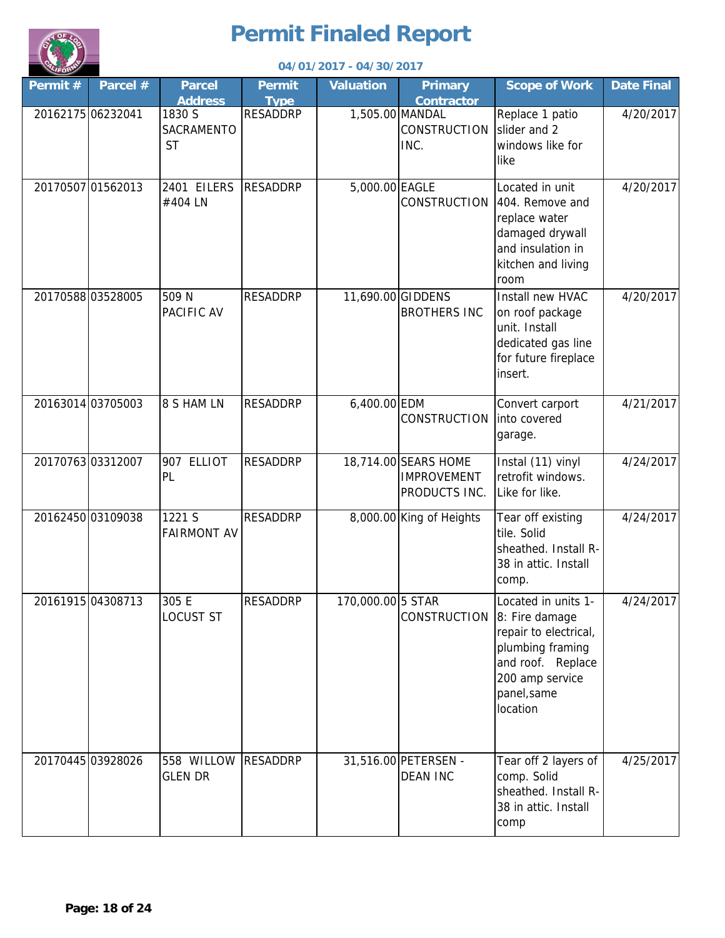

|                   |                   | 04/01/2017 - 04/30/2017           |                              |                   |                                                             |                                                                                                                                                       |                   |  |  |  |
|-------------------|-------------------|-----------------------------------|------------------------------|-------------------|-------------------------------------------------------------|-------------------------------------------------------------------------------------------------------------------------------------------------------|-------------------|--|--|--|
| Permit#           | Parcel #          | <b>Parcel</b><br><b>Address</b>   | <b>Permit</b><br><b>Type</b> | <b>Valuation</b>  | <b>Primary</b><br><b>Contractor</b>                         | <b>Scope of Work</b>                                                                                                                                  | <b>Date Final</b> |  |  |  |
| 20162175 06232041 |                   | 1830 S<br>SACRAMENTO<br><b>ST</b> | <b>RESADDRP</b>              | 1,505.00 MANDAL   | <b>CONSTRUCTION</b><br>INC.                                 | Replace 1 patio<br>slider and 2<br>windows like for<br>like                                                                                           | 4/20/2017         |  |  |  |
| 20170507 01562013 |                   | 2401 EILERS<br>#404 LN            | <b>RESADDRP</b>              | 5,000.00 EAGLE    | <b>CONSTRUCTION</b>                                         | Located in unit<br>404. Remove and<br>replace water<br>damaged drywall<br>and insulation in<br>kitchen and living<br>room                             | 4/20/2017         |  |  |  |
|                   | 20170588 03528005 | 509 N<br>PACIFIC AV               | <b>RESADDRP</b>              | 11,690.00 GIDDENS | <b>BROTHERS INC</b>                                         | Install new HVAC<br>on roof package<br>unit. Install<br>dedicated gas line<br>for future fireplace<br>insert.                                         | 4/20/2017         |  |  |  |
|                   | 20163014 03705003 | 8 S HAM LN                        | <b>RESADDRP</b>              | 6,400.00 EDM      | CONSTRUCTION                                                | Convert carport<br>into covered<br>garage.                                                                                                            | 4/21/2017         |  |  |  |
|                   | 2017076303312007  | 907 ELLIOT<br>PL                  | <b>RESADDRP</b>              |                   | 18,714.00 SEARS HOME<br><b>IMPROVEMENT</b><br>PRODUCTS INC. | Instal (11) vinyl<br>retrofit windows.<br>Like for like.                                                                                              | 4/24/2017         |  |  |  |
|                   | 20162450 03109038 | 1221 S<br><b>FAIRMONT AV</b>      | <b>RESADDRP</b>              |                   | 8,000.00 King of Heights                                    | Tear off existing<br>tile. Solid<br>sheathed. Install R-<br>38 in attic. Install<br>comp.                                                             | 4/24/2017         |  |  |  |
|                   | 20161915 04308713 | 305 E<br><b>LOCUST ST</b>         | <b>RESADDRP</b>              | 170,000.00 5 STAR | CONSTRUCTION                                                | Located in units 1-<br>8: Fire damage<br>repair to electrical,<br>plumbing framing<br>and roof. Replace<br>200 amp service<br>panel, same<br>location | 4/24/2017         |  |  |  |
|                   | 20170445 03928026 | 558 WILLOW<br><b>GLEN DR</b>      | <b>RESADDRP</b>              |                   | 31,516.00 PETERSEN -<br><b>DEAN INC</b>                     | Tear off 2 layers of<br>comp. Solid<br>sheathed. Install R-<br>38 in attic. Install<br>comp                                                           | 4/25/2017         |  |  |  |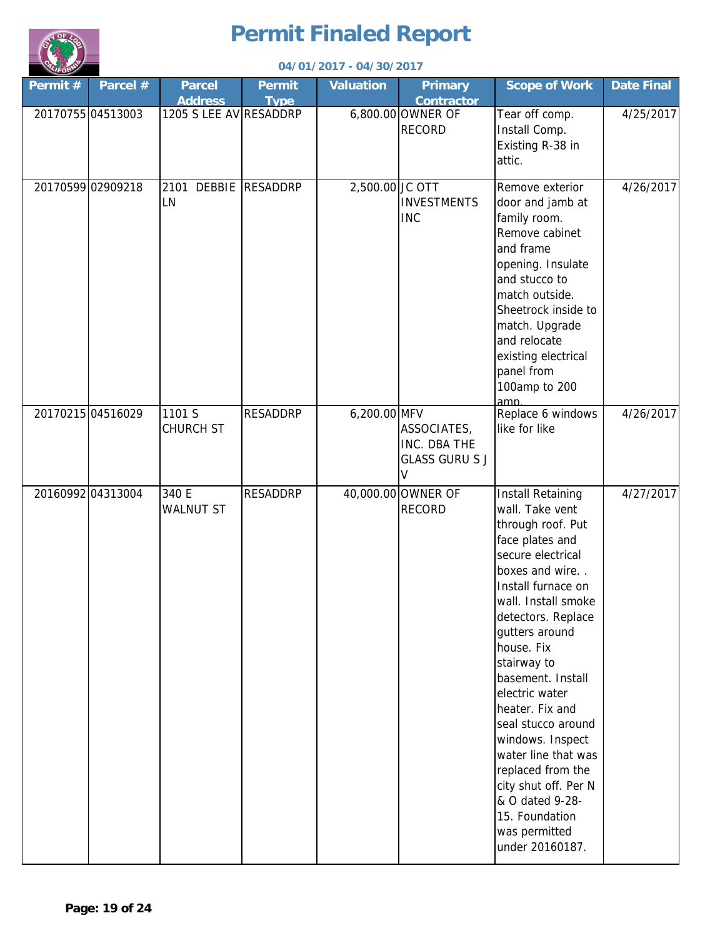

|                   | 04/01/2017 - 04/30/2017 |                                 |                              |                  |                                                           |                                                                                                                                                                                                                                                                                                                                                                                                                                                                                               |                   |  |  |
|-------------------|-------------------------|---------------------------------|------------------------------|------------------|-----------------------------------------------------------|-----------------------------------------------------------------------------------------------------------------------------------------------------------------------------------------------------------------------------------------------------------------------------------------------------------------------------------------------------------------------------------------------------------------------------------------------------------------------------------------------|-------------------|--|--|
| Permit#           | Parcel #                | <b>Parcel</b><br><b>Address</b> | <b>Permit</b><br><b>Type</b> | <b>Valuation</b> | <b>Primary</b><br><b>Contractor</b>                       | <b>Scope of Work</b>                                                                                                                                                                                                                                                                                                                                                                                                                                                                          | <b>Date Final</b> |  |  |
| 20170755 04513003 |                         | 1205 S LEE AV RESADDRP          |                              |                  | 6,800.00 OWNER OF<br><b>RECORD</b>                        | Tear off comp.<br>Install Comp.<br>Existing R-38 in<br>attic.                                                                                                                                                                                                                                                                                                                                                                                                                                 | 4/25/2017         |  |  |
| 20170599 02909218 |                         | 2101 DEBBIE RESADDRP<br>LN      |                              | 2,500.00 JC OTT  | <b>INVESTMENTS</b><br><b>INC</b>                          | Remove exterior<br>door and jamb at<br>family room.<br>Remove cabinet<br>and frame<br>opening. Insulate<br>and stucco to<br>match outside.<br>Sheetrock inside to<br>match. Upgrade<br>and relocate<br>existing electrical<br>panel from<br>100amp to 200<br>amn                                                                                                                                                                                                                              | 4/26/2017         |  |  |
| 20170215 04516029 |                         | 1101 S<br><b>CHURCH ST</b>      | <b>RESADDRP</b>              | $6,200.00$ MFV   | ASSOCIATES,<br>INC. DBA THE<br><b>GLASS GURU S J</b><br>V | Replace 6 windows<br>like for like                                                                                                                                                                                                                                                                                                                                                                                                                                                            | 4/26/2017         |  |  |
| 20160992 04313004 |                         | 340 E<br><b>WALNUT ST</b>       | <b>RESADDRP</b>              |                  | 40,000.00 OWNER OF<br><b>RECORD</b>                       | <b>Install Retaining</b><br>wall. Take vent<br>through roof. Put<br>face plates and<br>secure electrical<br>boxes and wire<br>Install furnace on<br>wall. Install smoke<br>detectors. Replace<br>gutters around<br>house. Fix<br>stairway to<br>basement. Install<br>electric water<br>heater. Fix and<br>seal stucco around<br>windows. Inspect<br>water line that was<br>replaced from the<br>city shut off. Per N<br>& O dated 9-28-<br>15. Foundation<br>was permitted<br>under 20160187. | 4/27/2017         |  |  |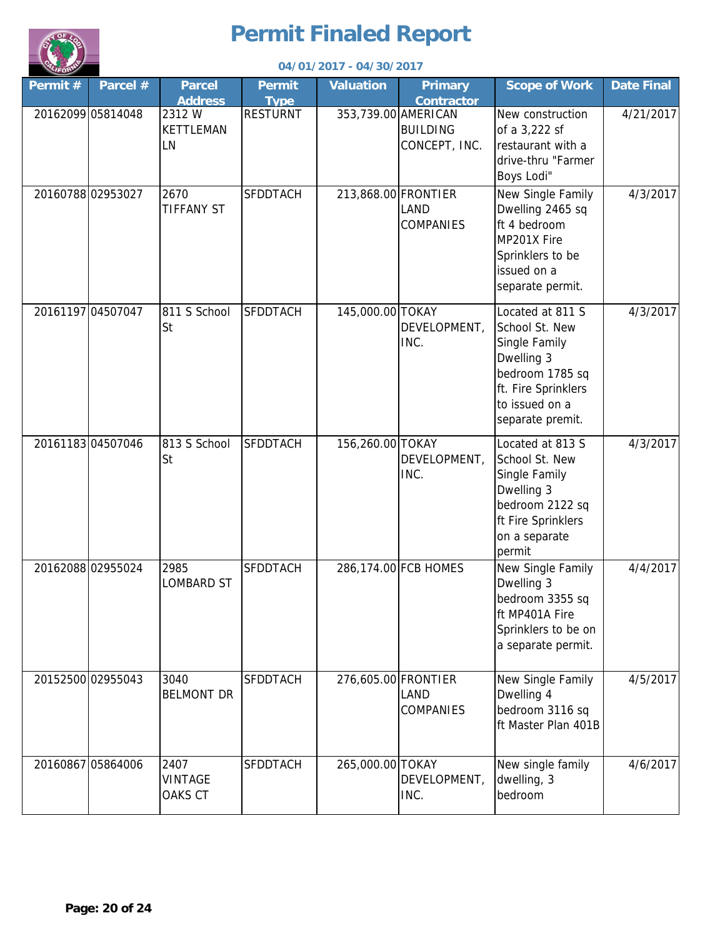

|                   |                   |                                   |                              | 04/01/2017 - 04/30/2017 |                                     |                                                                                                                                                   |                   |
|-------------------|-------------------|-----------------------------------|------------------------------|-------------------------|-------------------------------------|---------------------------------------------------------------------------------------------------------------------------------------------------|-------------------|
| Permit#           | Parcel #          | <b>Parcel</b><br><b>Address</b>   | <b>Permit</b><br><b>Type</b> | <b>Valuation</b>        | <b>Primary</b><br><b>Contractor</b> | <b>Scope of Work</b>                                                                                                                              | <b>Date Final</b> |
| 20162099 05814048 |                   | 2312 W<br><b>KETTLEMAN</b><br>LN  | <b>RESTURNT</b>              | 353,739.00 AMERICAN     | <b>BUILDING</b><br>CONCEPT, INC.    | New construction<br>of a 3,222 sf<br>restaurant with a<br>drive-thru "Farmer<br>Boys Lodi"                                                        | 4/21/2017         |
| 20160788 02953027 |                   | 2670<br><b>TIFFANY ST</b>         | <b>SFDDTACH</b>              | 213,868.00 FRONTIER     | LAND<br><b>COMPANIES</b>            | New Single Family<br>Dwelling 2465 sq<br>ft 4 bedroom<br>MP201X Fire<br>Sprinklers to be<br>issued on a<br>separate permit.                       | 4/3/2017          |
| 20161197 04507047 |                   | 811 S School<br><b>St</b>         | <b>SFDDTACH</b>              | 145,000.00 TOKAY        | DEVELOPMENT,<br>INC.                | Located at 811 S<br>School St. New<br>Single Family<br>Dwelling 3<br>bedroom 1785 sq<br>ft. Fire Sprinklers<br>to issued on a<br>separate premit. | 4/3/2017          |
|                   | 2016118304507046  | 813 S School<br><b>St</b>         | <b>SFDDTACH</b>              | 156,260.00 TOKAY        | DEVELOPMENT,<br>INC.                | Located at 813 S<br>School St. New<br>Single Family<br>Dwelling 3<br>bedroom 2122 sq<br>ft Fire Sprinklers<br>on a separate<br>permit             | 4/3/2017          |
| 2016208802955024  |                   | 2985<br><b>LOMBARD ST</b>         | <b>SFDDTACH</b>              |                         | 286,174.00 FCB HOMES                | New Single Family<br>Dwelling 3<br>bedroom 3355 sq<br>ft MP401A Fire<br>Sprinklers to be on<br>a separate permit.                                 | 4/4/2017          |
|                   | 20152500 02955043 | 3040<br><b>BELMONT DR</b>         | <b>SFDDTACH</b>              | 276,605.00 FRONTIER     | LAND<br>COMPANIES                   | New Single Family<br>Dwelling 4<br>bedroom 3116 sq<br>ft Master Plan 401B                                                                         | 4/5/2017          |
|                   | 20160867 05864006 | 2407<br><b>VINTAGE</b><br>OAKS CT | <b>SFDDTACH</b>              | 265,000.00 TOKAY        | DEVELOPMENT,<br>INC.                | New single family<br>dwelling, 3<br>bedroom                                                                                                       | 4/6/2017          |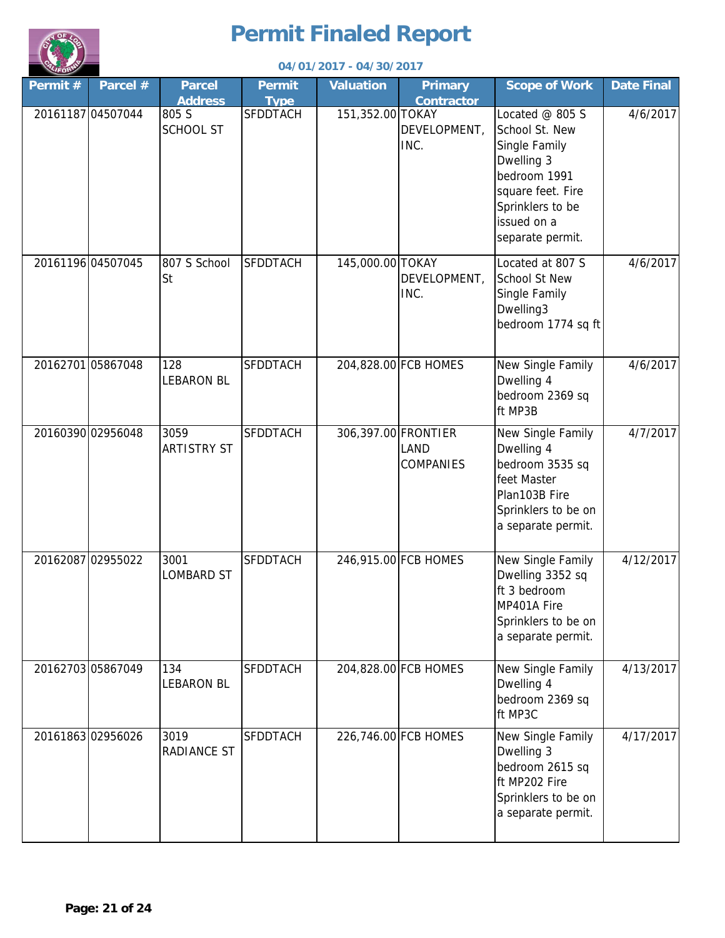

|         | 04/01/2017 - 04/30/2017 |                                 |                       |                     |                                     |                                                                                                                                                                |                   |
|---------|-------------------------|---------------------------------|-----------------------|---------------------|-------------------------------------|----------------------------------------------------------------------------------------------------------------------------------------------------------------|-------------------|
| Permit# | Parcel #                | <b>Parcel</b><br><b>Address</b> | Permit<br><b>Type</b> | <b>Valuation</b>    | <b>Primary</b><br><b>Contractor</b> | <b>Scope of Work</b>                                                                                                                                           | <b>Date Final</b> |
|         | 20161187 04507044       | 805 S<br><b>SCHOOL ST</b>       | <b>SFDDTACH</b>       | 151,352.00 TOKAY    | DEVELOPMENT,<br>INC.                | Located $@$ 805 S<br>School St. New<br>Single Family<br>Dwelling 3<br>bedroom 1991<br>square feet. Fire<br>Sprinklers to be<br>issued on a<br>separate permit. | 4/6/2017          |
|         | 20161196 04507045       | 807 S School<br><b>St</b>       | <b>SFDDTACH</b>       | 145,000.00 TOKAY    | DEVELOPMENT,<br>INC.                | Located at 807 S<br><b>School St New</b><br>Single Family<br>Dwelling3<br>bedroom 1774 sq ft                                                                   | 4/6/2017          |
|         | 20162701 05867048       | 128<br><b>LEBARON BL</b>        | <b>SFDDTACH</b>       |                     | 204,828.00 FCB HOMES                | New Single Family<br>Dwelling 4<br>bedroom 2369 sq<br>ft MP3B                                                                                                  | 4/6/2017          |
|         | 20160390 02956048       | 3059<br><b>ARTISTRY ST</b>      | <b>SFDDTACH</b>       | 306,397.00 FRONTIER | <b>LAND</b><br>COMPANIES            | New Single Family<br>Dwelling 4<br>bedroom 3535 sq<br>feet Master<br>Plan103B Fire<br>Sprinklers to be on<br>a separate permit.                                | 4/7/2017          |
|         | 20162087 02955022       | 3001<br><b>LOMBARD ST</b>       | <b>SFDDTACH</b>       |                     | 246,915.00 FCB HOMES                | New Single Family<br>Dwelling 3352 sq<br>ft 3 bedroom<br>MP401A Fire<br>Sprinklers to be on<br>a separate permit.                                              | 4/12/2017         |
|         | 20162703 05867049       | 134<br><b>LEBARON BL</b>        | SFDDTACH              |                     | 204,828.00 FCB HOMES                | New Single Family<br>Dwelling 4<br>bedroom 2369 sq<br>ft MP3C                                                                                                  | 4/13/2017         |
|         | 2016186302956026        | 3019<br>RADIANCE ST             | <b>SFDDTACH</b>       |                     | 226,746.00 FCB HOMES                | New Single Family<br>Dwelling 3<br>bedroom 2615 sq<br>ft MP202 Fire<br>Sprinklers to be on<br>a separate permit.                                               | 4/17/2017         |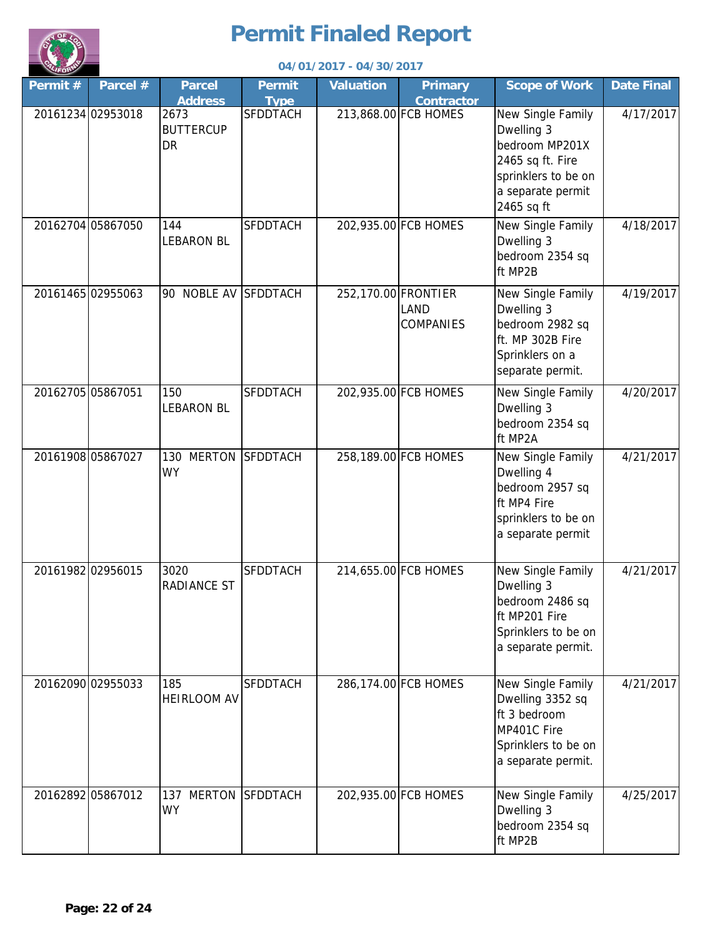

|         |                   |                                       |                       | 04/01/2017 - 04/30/2017 |                                     |                                                                                                                                 |                   |
|---------|-------------------|---------------------------------------|-----------------------|-------------------------|-------------------------------------|---------------------------------------------------------------------------------------------------------------------------------|-------------------|
| Permit# | Parcel #          | <b>Parcel</b><br><b>Address</b>       | Permit<br><b>Type</b> | <b>Valuation</b>        | <b>Primary</b><br><b>Contractor</b> | <b>Scope of Work</b>                                                                                                            | <b>Date Final</b> |
|         | 20161234 02953018 | 2673<br><b>BUTTERCUP</b><br><b>DR</b> | <b>SFDDTACH</b>       |                         | 213,868.00 FCB HOMES                | New Single Family<br>Dwelling 3<br>bedroom MP201X<br>2465 sq ft. Fire<br>sprinklers to be on<br>a separate permit<br>2465 sq ft | 4/17/2017         |
|         | 20162704 05867050 | 144<br><b>LEBARON BL</b>              | <b>SFDDTACH</b>       |                         | 202,935.00 FCB HOMES                | New Single Family<br>Dwelling 3<br>bedroom 2354 sq<br>ft MP2B                                                                   | 4/18/2017         |
|         | 20161465 02955063 | 90 NOBLE AV SFDDTACH                  |                       | 252,170.00 FRONTIER     | LAND<br><b>COMPANIES</b>            | New Single Family<br>Dwelling 3<br>bedroom 2982 sq<br>ft. MP 302B Fire<br>Sprinklers on a<br>separate permit.                   | 4/19/2017         |
|         | 20162705 05867051 | 150<br><b>LEBARON BL</b>              | <b>SFDDTACH</b>       |                         | 202,935.00 FCB HOMES                | New Single Family<br>Dwelling 3<br>bedroom 2354 sq<br>ft MP2A                                                                   | 4/20/2017         |
|         | 2016190805867027  | 130 MERTON<br><b>WY</b>               | <b>SFDDTACH</b>       |                         | 258,189.00 FCB HOMES                | New Single Family<br>Dwelling 4<br>bedroom 2957 sq<br>ft MP4 Fire<br>sprinklers to be on<br>a separate permit                   | 4/21/2017         |
|         | 20161982 02956015 | 3020<br><b>RADIANCE ST</b>            | <b>SFDDTACH</b>       |                         | 214,655.00 FCB HOMES                | New Single Family<br>Dwelling 3<br>bedroom 2486 sq<br>ft MP201 Fire<br>Sprinklers to be on<br>a separate permit.                | 4/21/2017         |
|         | 20162090 02955033 | 185<br><b>HEIRLOOM AV</b>             | <b>SFDDTACH</b>       |                         | 286,174.00 FCB HOMES                | New Single Family<br>Dwelling 3352 sq<br>ft 3 bedroom<br>MP401C Fire<br>Sprinklers to be on<br>a separate permit.               | 4/21/2017         |
|         | 20162892 05867012 | 137 MERTON SFDDTACH<br><b>WY</b>      |                       |                         | 202,935.00 FCB HOMES                | New Single Family<br>Dwelling 3<br>bedroom 2354 sq<br>ft MP2B                                                                   | 4/25/2017         |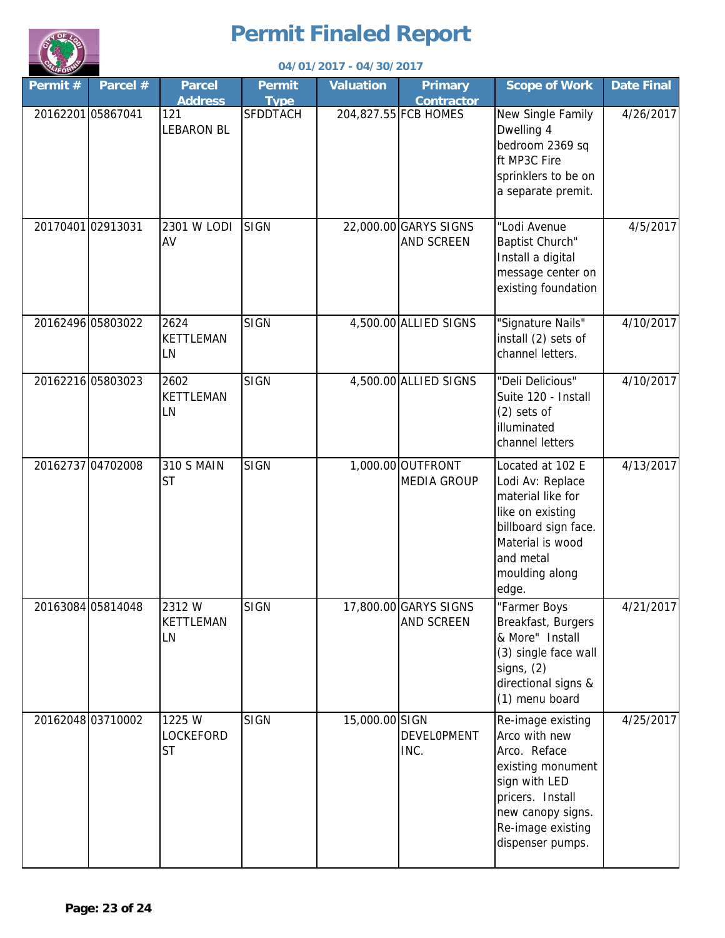

|         |                   |                                  |                              | 04/01/2017 - 04/30/2017 |                                            |                                                                                                                                                                            |                   |
|---------|-------------------|----------------------------------|------------------------------|-------------------------|--------------------------------------------|----------------------------------------------------------------------------------------------------------------------------------------------------------------------------|-------------------|
| Permit# | Parcel #          | <b>Parcel</b><br><b>Address</b>  | <b>Permit</b><br><b>Type</b> | <b>Valuation</b>        | <b>Primary</b><br><b>Contractor</b>        | <b>Scope of Work</b>                                                                                                                                                       | <b>Date Final</b> |
|         | 20162201 05867041 | 121<br><b>LEBARON BL</b>         | <b>SFDDTACH</b>              |                         | 204,827.55 FCB HOMES                       | New Single Family<br>Dwelling 4<br>bedroom 2369 sq<br>ft MP3C Fire<br>sprinklers to be on<br>a separate premit.                                                            | 4/26/2017         |
|         | 20170401 02913031 | 2301 W LODI<br>AV                | <b>SIGN</b>                  |                         | 22,000.00 GARYS SIGNS<br>AND SCREEN        | "Lodi Avenue<br>Baptist Church"<br>Install a digital<br>message center on<br>existing foundation                                                                           | 4/5/2017          |
|         | 20162496 05803022 | 2624<br><b>KETTLEMAN</b><br>LN   | SIGN                         |                         | 4,500.00 ALLIED SIGNS                      | "Signature Nails"<br>install (2) sets of<br>channel letters.                                                                                                               | 4/10/2017         |
|         | 20162216 05803023 | 2602<br><b>KETTLEMAN</b><br>LN   | <b>SIGN</b>                  |                         | 4,500.00 ALLIED SIGNS                      | "Deli Delicious"<br>Suite 120 - Install<br>$(2)$ sets of<br>illuminated<br>channel letters                                                                                 | 4/10/2017         |
|         | 20162737 04702008 | <b>310 S MAIN</b><br><b>ST</b>   | <b>SIGN</b>                  |                         | 1,000.00 OUTFRONT<br><b>MEDIA GROUP</b>    | Located at 102 E<br>Lodi Av: Replace<br>material like for<br>like on existing<br>billboard sign face.<br>Material is wood<br>and metal<br>moulding along<br>edge.          | 4/13/2017         |
|         | 20163084 05814048 | 2312W<br><b>KETTLEMAN</b><br>LN  | <b>SIGN</b>                  |                         | 17,800.00 GARYS SIGNS<br><b>AND SCREEN</b> | "Farmer Boys<br>Breakfast, Burgers<br>& More" Install<br>(3) single face wall<br>signs, $(2)$<br>directional signs &<br>(1) menu board                                     | 4/21/2017         |
|         | 20162048 03710002 | 1225 W<br>LOCKEFORD<br><b>ST</b> | <b>SIGN</b>                  | 15,000.00 SIGN          | DEVELOPMENT<br>INC.                        | Re-image existing<br>Arco with new<br>Arco. Reface<br>existing monument<br>sign with LED<br>pricers. Install<br>new canopy signs.<br>Re-image existing<br>dispenser pumps. | 4/25/2017         |